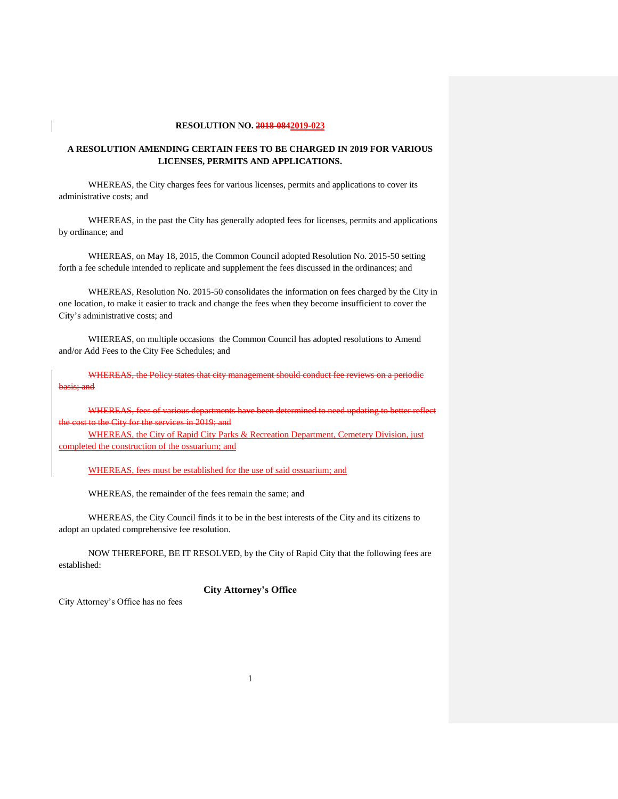#### **RESOLUTION NO. 2018-0842019-023**

#### **A RESOLUTION AMENDING CERTAIN FEES TO BE CHARGED IN 2019 FOR VARIOUS LICENSES, PERMITS AND APPLICATIONS.**

WHEREAS, the City charges fees for various licenses, permits and applications to cover its administrative costs; and

WHEREAS, in the past the City has generally adopted fees for licenses, permits and applications by ordinance; and

WHEREAS, on May 18, 2015, the Common Council adopted Resolution No. 2015-50 setting forth a fee schedule intended to replicate and supplement the fees discussed in the ordinances; and

WHEREAS, Resolution No. 2015-50 consolidates the information on fees charged by the City in one location, to make it easier to track and change the fees when they become insufficient to cover the City's administrative costs; and

WHEREAS, on multiple occasions the Common Council has adopted resolutions to Amend and/or Add Fees to the City Fee Schedules; and

WHEREAS, the Policy states that city basis; and

WHEREAS, fees of various departments have City for the services in 2019; and

WHEREAS, the City of Rapid City Parks & Recreation Department, Cemetery Division, just completed the construction of the ossuarium; and

WHEREAS, fees must be established for the use of said ossuarium; and

WHEREAS, the remainder of the fees remain the same; and

WHEREAS, the City Council finds it to be in the best interests of the City and its citizens to adopt an updated comprehensive fee resolution.

NOW THEREFORE, BE IT RESOLVED, by the City of Rapid City that the following fees are established:

#### **City Attorney's Office**

City Attorney's Office has no fees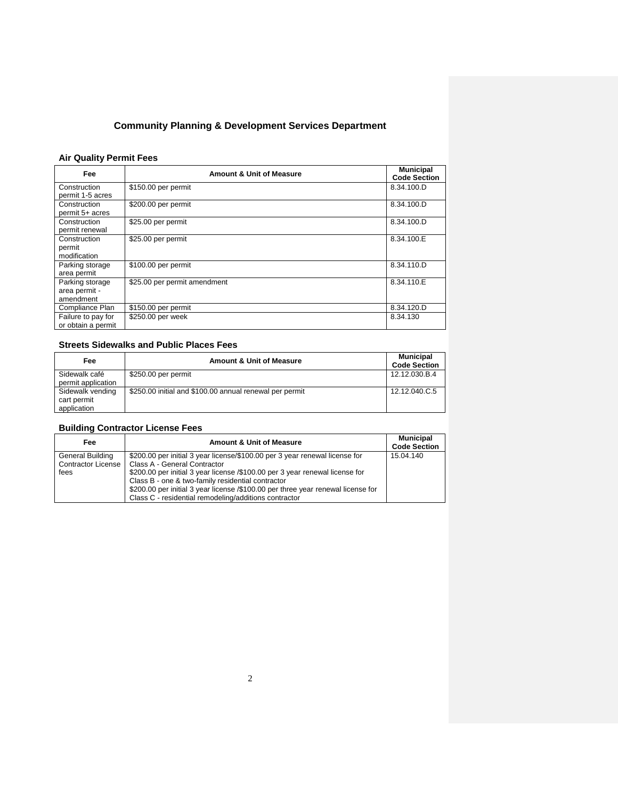## **Community Planning & Development Services Department**

### **Air Quality Permit Fees**

| Fee                                           | <b>Amount &amp; Unit of Measure</b> | <b>Municipal</b><br><b>Code Section</b> |
|-----------------------------------------------|-------------------------------------|-----------------------------------------|
| Construction<br>permit 1-5 acres              | \$150.00 per permit                 | 8.34.100.D                              |
| Construction<br>permit 5+ acres               | \$200.00 per permit                 | 8.34.100.D                              |
| Construction<br>permit renewal                | \$25.00 per permit                  | 8.34.100.D                              |
| Construction<br>permit<br>modification        | \$25.00 per permit                  | 8.34.100.E                              |
| Parking storage<br>area permit                | \$100.00 per permit                 | 8.34.110.D                              |
| Parking storage<br>area permit -<br>amendment | \$25.00 per permit amendment        | 8.34.110.E                              |
| Compliance Plan                               | \$150.00 per permit                 | 8.34.120.D                              |
| Failure to pay for<br>or obtain a permit      | \$250.00 per week                   | 8.34.130                                |

## **Streets Sidewalks and Public Places Fees**

| Fee                                            | <b>Amount &amp; Unit of Measure</b>                     | <b>Municipal</b><br><b>Code Section</b> |
|------------------------------------------------|---------------------------------------------------------|-----------------------------------------|
| Sidewalk café<br>permit application            | \$250.00 per permit                                     | 12.12.030.B.4                           |
| Sidewalk vending<br>cart permit<br>application | \$250.00 initial and \$100.00 annual renewal per permit | 12.12.040.C.5                           |

## **Building Contractor License Fees**

| Fee              | <b>Amount &amp; Unit of Measure</b>                                              | <b>Municipal</b><br><b>Code Section</b> |
|------------------|----------------------------------------------------------------------------------|-----------------------------------------|
| General Building | \$200.00 per initial 3 year license/\$100.00 per 3 year renewal license for      | 15.04.140                               |
|                  | Contractor License   Class A - General Contractor                                |                                         |
| fees             | \$200.00 per initial 3 year license /\$100.00 per 3 year renewal license for     |                                         |
|                  | Class B - one & two-family residential contractor                                |                                         |
|                  | \$200.00 per initial 3 year license /\$100.00 per three year renewal license for |                                         |
|                  | Class C - residential remodeling/additions contractor                            |                                         |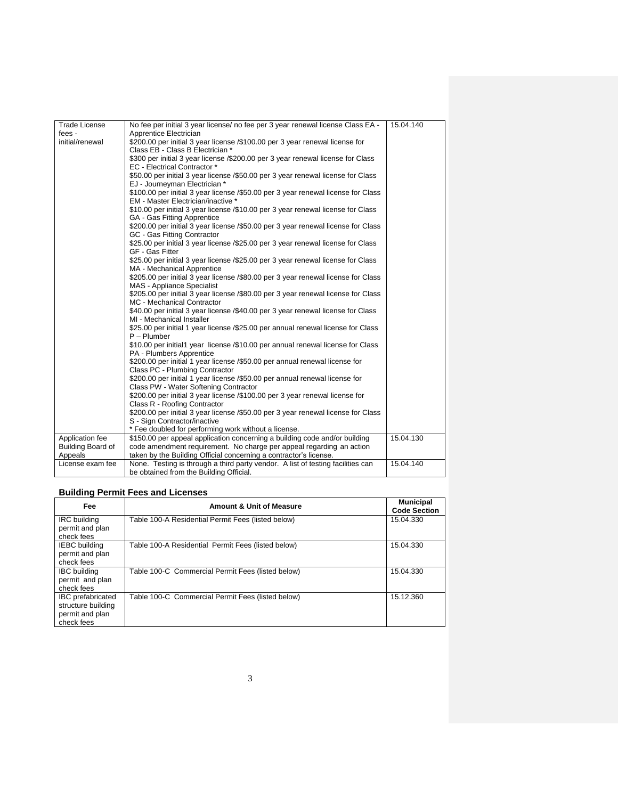| <b>Trade License</b> | No fee per initial 3 year license/ no fee per 3 year renewal license Class EA -   | 15.04.140 |
|----------------------|-----------------------------------------------------------------------------------|-----------|
| fees -               | Apprentice Electrician                                                            |           |
| initial/renewal      | \$200.00 per initial 3 year license /\$100.00 per 3 year renewal license for      |           |
|                      | Class EB - Class B Electrician *                                                  |           |
|                      | \$300 per initial 3 year license /\$200.00 per 3 year renewal license for Class   |           |
|                      | EC - Electrical Contractor *                                                      |           |
|                      | \$50.00 per initial 3 year license /\$50.00 per 3 year renewal license for Class  |           |
|                      | EJ - Journeyman Electrician *                                                     |           |
|                      | \$100.00 per initial 3 year license /\$50.00 per 3 year renewal license for Class |           |
|                      | EM - Master Electrician/inactive *                                                |           |
|                      | \$10.00 per initial 3 year license /\$10.00 per 3 year renewal license for Class  |           |
|                      | GA - Gas Fitting Apprentice                                                       |           |
|                      | \$200.00 per initial 3 year license /\$50.00 per 3 year renewal license for Class |           |
|                      | GC - Gas Fitting Contractor                                                       |           |
|                      | \$25.00 per initial 3 year license /\$25.00 per 3 year renewal license for Class  |           |
|                      | GF - Gas Fitter                                                                   |           |
|                      | \$25.00 per initial 3 year license /\$25.00 per 3 year renewal license for Class  |           |
|                      | MA - Mechanical Apprentice                                                        |           |
|                      | \$205.00 per initial 3 year license /\$80.00 per 3 year renewal license for Class |           |
|                      | MAS - Appliance Specialist                                                        |           |
|                      | \$205.00 per initial 3 year license /\$80.00 per 3 year renewal license for Class |           |
|                      | MC - Mechanical Contractor                                                        |           |
|                      | \$40.00 per initial 3 year license /\$40.00 per 3 year renewal license for Class  |           |
|                      | MI - Mechanical Installer                                                         |           |
|                      | \$25.00 per initial 1 year license /\$25.00 per annual renewal license for Class  |           |
|                      | $P - Plumber$                                                                     |           |
|                      | \$10.00 per initial1 year license /\$10.00 per annual renewal license for Class   |           |
|                      | PA - Plumbers Apprentice                                                          |           |
|                      | \$200.00 per initial 1 year license /\$50.00 per annual renewal license for       |           |
|                      | Class PC - Plumbing Contractor                                                    |           |
|                      | \$200.00 per initial 1 year license /\$50.00 per annual renewal license for       |           |
|                      | Class PW - Water Softening Contractor                                             |           |
|                      | \$200.00 per initial 3 year license /\$100.00 per 3 year renewal license for      |           |
|                      | Class R - Roofing Contractor                                                      |           |
|                      | \$200.00 per initial 3 year license /\$50.00 per 3 year renewal license for Class |           |
|                      | S - Sign Contractor/inactive                                                      |           |
|                      | * Fee doubled for performing work without a license.                              |           |
| Application fee      | \$150.00 per appeal application concerning a building code and/or building        | 15.04.130 |
| Building Board of    | code amendment requirement. No charge per appeal regarding an action              |           |
| Appeals              | taken by the Building Official concerning a contractor's license.                 |           |
| License exam fee     | None. Testing is through a third party vendor. A list of testing facilities can   | 15.04.140 |
|                      | be obtained from the Building Official.                                           |           |

## **Building Permit Fees and Licenses**

| Fee                                                                             | <b>Amount &amp; Unit of Measure</b>                | <b>Municipal</b><br><b>Code Section</b> |
|---------------------------------------------------------------------------------|----------------------------------------------------|-----------------------------------------|
| <b>IRC</b> building<br>permit and plan<br>check fees                            | Table 100-A Residential Permit Fees (listed below) | 15.04.330                               |
| <b>IEBC</b> building<br>permit and plan<br>check fees                           | Table 100-A Residential Permit Fees (listed below) | 15.04.330                               |
| <b>IBC</b> building<br>permit and plan<br>check fees                            | Table 100-C Commercial Permit Fees (listed below)  | 15.04.330                               |
| <b>IBC</b> prefabricated<br>structure building<br>permit and plan<br>check fees | Table 100-C Commercial Permit Fees (listed below)  | 15.12.360                               |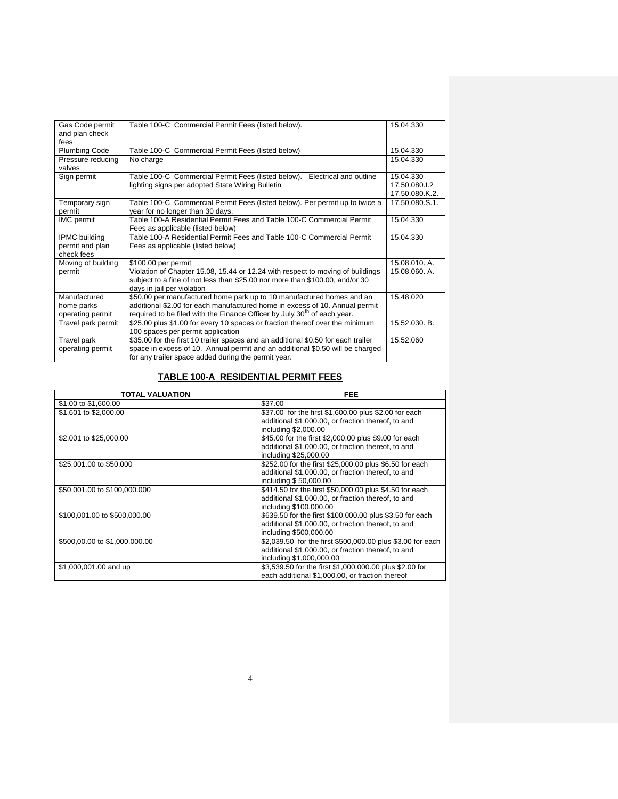| Gas Code permit<br>and plan check<br>fees             | Table 100-C Commercial Permit Fees (listed below).                                                                                                                                                                                           | 15.04.330                                    |
|-------------------------------------------------------|----------------------------------------------------------------------------------------------------------------------------------------------------------------------------------------------------------------------------------------------|----------------------------------------------|
| <b>Plumbing Code</b>                                  | Table 100-C Commercial Permit Fees (listed below)                                                                                                                                                                                            | 15.04.330                                    |
| Pressure reducing<br>valves                           | No charge                                                                                                                                                                                                                                    | 15.04.330                                    |
| Sign permit                                           | Table 100-C Commercial Permit Fees (listed below). Electrical and outline<br>lighting signs per adopted State Wiring Bulletin                                                                                                                | 15.04.330<br>17.50.080.I.2<br>17.50.080.K.2. |
| Temporary sign<br>permit                              | Table 100-C Commercial Permit Fees (listed below). Per permit up to twice a<br>year for no longer than 30 days.                                                                                                                              | 17.50.080.S.1.                               |
| IMC permit                                            | Table 100-A Residential Permit Fees and Table 100-C Commercial Permit<br>Fees as applicable (listed below)                                                                                                                                   | 15.04.330                                    |
| <b>IPMC</b> building<br>permit and plan<br>check fees | Table 100-A Residential Permit Fees and Table 100-C Commercial Permit<br>Fees as applicable (listed below)                                                                                                                                   | 15.04.330                                    |
| Moving of building<br>permit                          | \$100.00 per permit<br>Violation of Chapter 15.08, 15.44 or 12.24 with respect to moving of buildings<br>subject to a fine of not less than \$25.00 nor more than \$100.00, and/or 30<br>days in jail per violation                          | 15.08.010. A.<br>15.08.060. A.               |
| Manufactured<br>home parks<br>operating permit        | \$50.00 per manufactured home park up to 10 manufactured homes and an<br>additional \$2.00 for each manufactured home in excess of 10. Annual permit<br>required to be filed with the Finance Officer by July 30 <sup>th</sup> of each year. | 15.48.020                                    |
| Travel park permit                                    | \$25.00 plus \$1.00 for every 10 spaces or fraction thereof over the minimum<br>100 spaces per permit application                                                                                                                            | 15.52.030. B.                                |
| Travel park<br>operating permit                       | \$35.00 for the first 10 trailer spaces and an additional \$0.50 for each trailer<br>space in excess of 10. Annual permit and an additional \$0.50 will be charged<br>for any trailer space added during the permit year.                    | 15.52.060                                    |

## **TABLE 100-A RESIDENTIAL PERMIT FEES**

| <b>TOTAL VALUATION</b>        | <b>FEE</b>                                                 |
|-------------------------------|------------------------------------------------------------|
| \$1.00 to \$1,600.00          | \$37.00                                                    |
| \$1,601 to \$2,000.00         | \$37.00 for the first \$1,600.00 plus \$2.00 for each      |
|                               | additional \$1,000.00, or fraction thereof, to and         |
|                               | including \$2,000.00                                       |
| \$2,001 to \$25,000.00        | \$45.00 for the first \$2,000.00 plus \$9.00 for each      |
|                               | additional \$1,000.00, or fraction thereof, to and         |
|                               | including \$25,000.00                                      |
| \$25,001.00 to \$50,000       | \$252.00 for the first \$25,000.00 plus \$6.50 for each    |
|                               | additional \$1,000.00, or fraction thereof, to and         |
|                               | including \$50,000.00                                      |
| \$50,001.00 to \$100,000.000  | \$414.50 for the first \$50,000.00 plus \$4.50 for each    |
|                               | additional \$1,000.00, or fraction thereof, to and         |
|                               | including \$100,000.00                                     |
| \$100,001.00 to \$500,000.00  | \$639.50 for the first \$100,000.00 plus \$3.50 for each   |
|                               | additional \$1,000.00, or fraction thereof, to and         |
|                               | including \$500,000.00                                     |
| \$500,00.00 to \$1,000,000.00 | \$2,039.50 for the first \$500,000.00 plus \$3.00 for each |
|                               | additional \$1,000.00, or fraction thereof, to and         |
|                               | including \$1,000,000.00                                   |
| \$1,000,001.00 and up         | \$3,539.50 for the first \$1,000,000.00 plus \$2.00 for    |
|                               | each additional \$1,000.00, or fraction thereof            |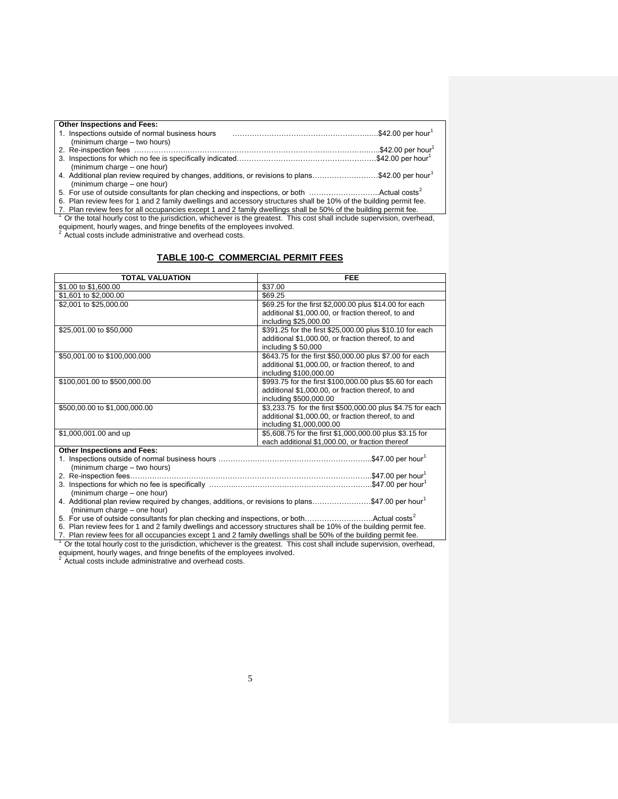| <b>Other Inspections and Fees:</b>                                                                                 |  |
|--------------------------------------------------------------------------------------------------------------------|--|
| 1. Inspections outside of normal business hours                                                                    |  |
| (minimum charge – two hours)                                                                                       |  |
|                                                                                                                    |  |
|                                                                                                                    |  |
| (minimum charge – one hour)                                                                                        |  |
| 4. Additional plan review required by changes, additions, or revisions to plans\$42.00 per hour <sup>1</sup>       |  |
| (minimum charge – one hour)                                                                                        |  |
|                                                                                                                    |  |
| 6. Plan review fees for 1 and 2 family dwellings and accessory structures shall be 10% of the building permit fee. |  |
| 7 Dlan review fees for all eccupancies except 1 and 2 family dwellings shall be 50% of the building permit fee     |  |

7. Plan review fees for all occupancies except 1 and 2 family dwellings shall be 50% of the building permit fee.<br><sup>1</sup> Or the total hourly cost to the jurisdiction, whichever is the greatest. This cost shall include supervis equipment, hourly wages, and fringe benefits of the employees involved.<br><sup>2</sup> Actual costs include administrative and overhead costs.

#### **TABLE 100-C COMMERCIAL PERMIT FEES**

| <b>TOTAL VALUATION</b>                                                                                             | <b>FEE</b>                                                 |
|--------------------------------------------------------------------------------------------------------------------|------------------------------------------------------------|
| \$1.00 to \$1,600.00                                                                                               | \$37.00                                                    |
| \$1,601 to \$2,000.00                                                                                              | \$69.25                                                    |
| \$2,001 to \$25,000.00                                                                                             | \$69.25 for the first \$2,000.00 plus \$14.00 for each     |
|                                                                                                                    | additional \$1,000.00, or fraction thereof, to and         |
|                                                                                                                    | including \$25,000.00                                      |
| \$25,001.00 to \$50,000                                                                                            | \$391.25 for the first \$25,000.00 plus \$10.10 for each   |
|                                                                                                                    | additional \$1,000.00, or fraction thereof, to and         |
|                                                                                                                    | including \$50,000                                         |
| \$50,001.00 to \$100,000.000                                                                                       | \$643.75 for the first \$50,000.00 plus \$7.00 for each    |
|                                                                                                                    | additional \$1,000.00, or fraction thereof, to and         |
|                                                                                                                    | including \$100,000.00                                     |
| \$100,001.00 to \$500,000.00                                                                                       | \$993.75 for the first \$100,000.00 plus \$5.60 for each   |
|                                                                                                                    | additional \$1,000.00, or fraction thereof, to and         |
|                                                                                                                    | including \$500,000.00                                     |
| \$500,00.00 to \$1,000,000.00                                                                                      | \$3,233.75 for the first \$500,000.00 plus \$4.75 for each |
|                                                                                                                    | additional \$1,000.00, or fraction thereof, to and         |
|                                                                                                                    | including \$1,000,000.00                                   |
| \$1,000,001.00 and up                                                                                              | \$5,608.75 for the first \$1,000,000.00 plus \$3.15 for    |
|                                                                                                                    | each additional \$1,000.00, or fraction thereof            |
| <b>Other Inspections and Fees:</b>                                                                                 |                                                            |
|                                                                                                                    |                                                            |
| (minimum charge - two hours)                                                                                       |                                                            |
|                                                                                                                    |                                                            |
| (minimum charge - one hour)                                                                                        |                                                            |
| 4. Additional plan review required by changes, additions, or revisions to plans\$47.00 per hour <sup>1</sup>       |                                                            |
| (minimum charge - one hour)                                                                                        |                                                            |
| 5. For use of outside consultants for plan checking and inspections, or bothActual costs <sup>2</sup>              |                                                            |
| 6. Plan review fees for 1 and 2 family dwellings and accessory structures shall be 10% of the building permit fee. |                                                            |
|                                                                                                                    |                                                            |

7. Plan review fees for all occupancies except 1 and 2 family dwellings shall be 50% of the building permit fee.<br><sup>1</sup> Or the total hourly cost to the jurisdiction, whichever is the greatest. This cost shall include supervis

equipment, hourly wages, and fringe benefits of the employees involved.<br><sup>2</sup> Actual costs include administrative and overhead costs.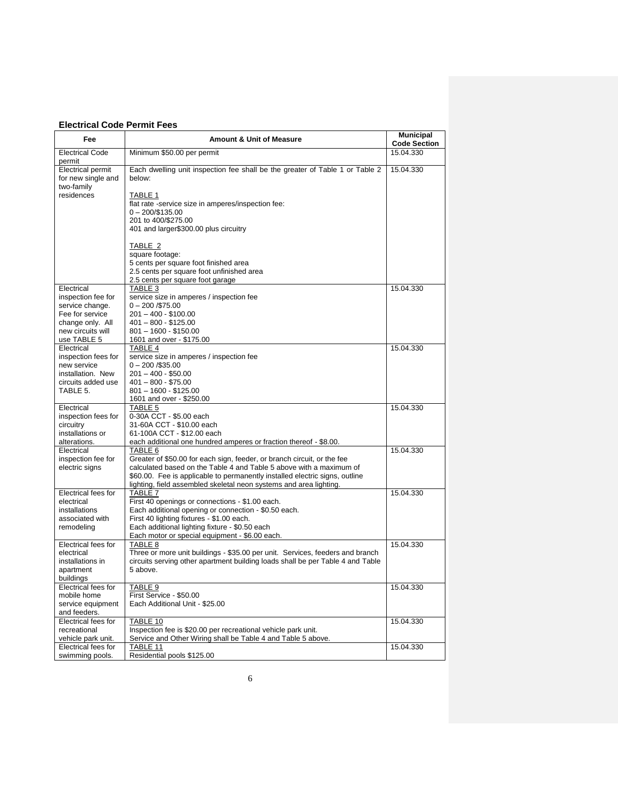### **Electrical Code Permit Fees**

| Fee                                                                                                                            | <b>Amount &amp; Unit of Measure</b>                                                                                                                                                                                                                                                                            | <b>Municipal</b><br><b>Code Section</b> |
|--------------------------------------------------------------------------------------------------------------------------------|----------------------------------------------------------------------------------------------------------------------------------------------------------------------------------------------------------------------------------------------------------------------------------------------------------------|-----------------------------------------|
| <b>Electrical Code</b><br>permit                                                                                               | Minimum \$50.00 per permit                                                                                                                                                                                                                                                                                     | 15.04.330                               |
| <b>Electrical permit</b><br>for new single and<br>two-family<br>residences                                                     | Each dwelling unit inspection fee shall be the greater of Table 1 or Table 2<br>below:<br>TABLE 1<br>flat rate -service size in amperes/inspection fee:<br>$0 - 200/135.00$<br>201 to 400/\$275.00<br>401 and larger\$300.00 plus circuitry                                                                    | 15.04.330                               |
|                                                                                                                                | TABLE 2<br>square footage:<br>5 cents per square foot finished area<br>2.5 cents per square foot unfinished area<br>2.5 cents per square foot garage                                                                                                                                                           |                                         |
| Electrical<br>inspection fee for<br>service change.<br>Fee for service<br>change only. All<br>new circuits will<br>use TABLE 5 | TABLE 3<br>service size in amperes / inspection fee<br>$0 - 200 / $75.00$<br>$201 - 400 - $100.00$<br>$401 - 800 - $125.00$<br>$801 - 1600 - $150.00$<br>1601 and over - \$175.00                                                                                                                              | 15.04.330                               |
| Electrical<br>inspection fees for<br>new service<br>installation. New<br>circuits added use<br>TABLE 5.                        | TABLE 4<br>service size in amperes / inspection fee<br>$0 - 200 / $35.00$<br>$201 - 400 - $50.00$<br>$401 - 800 - $75.00$<br>$801 - 1600 - $125.00$<br>1601 and over - \$250.00                                                                                                                                | 15.04.330                               |
| Electrical<br>inspection fees for<br>circuitry<br>installations or<br>alterations.                                             | TABLE 5<br>0-30A CCT - \$5.00 each<br>31-60A CCT - \$10.00 each<br>61-100A CCT - \$12.00 each<br>each additional one hundred amperes or fraction thereof - \$8.00.                                                                                                                                             | 15.04.330                               |
| Electrical<br>inspection fee for<br>electric signs                                                                             | TABLE 6<br>Greater of \$50.00 for each sign, feeder, or branch circuit, or the fee<br>calculated based on the Table 4 and Table 5 above with a maximum of<br>\$60.00. Fee is applicable to permanently installed electric signs, outline<br>lighting, field assembled skeletal neon systems and area lighting. | 15.04.330                               |
| Electrical fees for<br>electrical<br>installations<br>associated with<br>remodeling                                            | TABLE 7<br>First 40 openings or connections - \$1.00 each.<br>Each additional opening or connection - \$0.50 each.<br>First 40 lighting fixtures - \$1.00 each.<br>Each additional lighting fixture - \$0.50 each<br>Each motor or special equipment - \$6.00 each.                                            | 15.04.330                               |
| Electrical fees for<br>electrical<br>installations in<br>apartment<br>buildings                                                | TABLE 8<br>Three or more unit buildings - \$35.00 per unit. Services, feeders and branch<br>circuits serving other apartment building loads shall be per Table 4 and Table<br>5 above.                                                                                                                         | 15.04.330                               |
| Electrical fees for<br>mobile home<br>service equipment<br>and feeders.                                                        | TABLE 9<br>First Service - \$50.00<br>Each Additional Unit - \$25.00                                                                                                                                                                                                                                           | 15.04.330                               |
| Electrical fees for<br>recreational<br>vehicle park unit.                                                                      | TABLE 10<br>Inspection fee is \$20.00 per recreational vehicle park unit.<br>Service and Other Wiring shall be Table 4 and Table 5 above.                                                                                                                                                                      | 15.04.330                               |
| Electrical fees for<br>swimming pools.                                                                                         | TABLE 11<br>Residential pools \$125.00                                                                                                                                                                                                                                                                         | 15.04.330                               |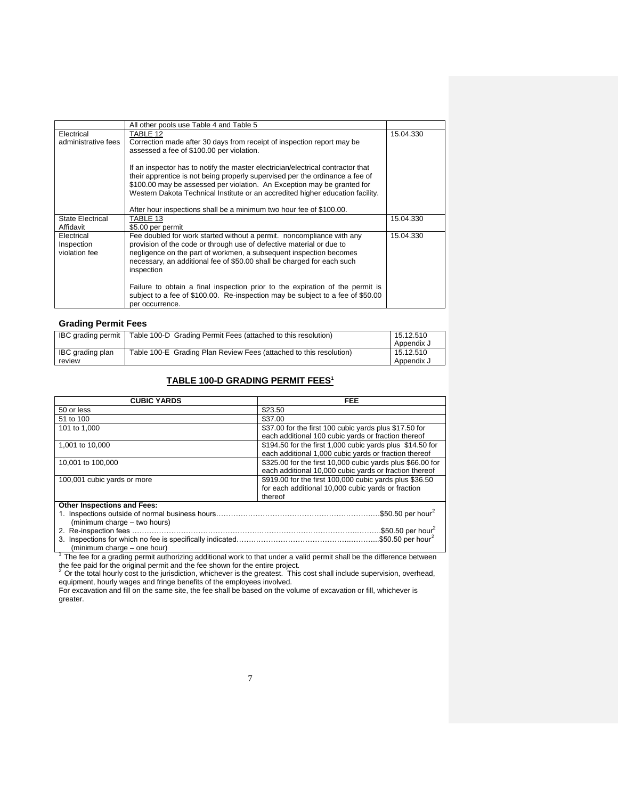|                         | All other pools use Table 4 and Table 5                                         |           |
|-------------------------|---------------------------------------------------------------------------------|-----------|
| Electrical              | TABLE 12                                                                        | 15.04.330 |
| administrative fees     | Correction made after 30 days from receipt of inspection report may be          |           |
|                         | assessed a fee of \$100.00 per violation.                                       |           |
|                         |                                                                                 |           |
|                         | If an inspector has to notify the master electrician/electrical contractor that |           |
|                         | their apprentice is not being properly supervised per the ordinance a fee of    |           |
|                         | \$100.00 may be assessed per violation. An Exception may be granted for         |           |
|                         | Western Dakota Technical Institute or an accredited higher education facility.  |           |
|                         |                                                                                 |           |
|                         | After hour inspections shall be a minimum two hour fee of \$100.00.             |           |
| <b>State Electrical</b> | TABLE 13                                                                        | 15.04.330 |
| Affidavit               | \$5.00 per permit                                                               |           |
| Electrical              | Fee doubled for work started without a permit. noncompliance with any           | 15.04.330 |
| Inspection              | provision of the code or through use of defective material or due to            |           |
| violation fee           | negligence on the part of workmen, a subsequent inspection becomes              |           |
|                         |                                                                                 |           |
|                         | necessary, an additional fee of \$50.00 shall be charged for each such          |           |
|                         | inspection                                                                      |           |
|                         |                                                                                 |           |
|                         | Failure to obtain a final inspection prior to the expiration of the permit is   |           |
|                         | subject to a fee of \$100.00. Re-inspection may be subject to a fee of \$50.00  |           |
|                         | per occurrence.                                                                 |           |

#### **Grading Permit Fees**

| <b>IBC</b> grading permit | Table 100-D Grading Permit Fees (attached to this resolution)      | 15.12.510  |
|---------------------------|--------------------------------------------------------------------|------------|
|                           |                                                                    | Appendix J |
| IBC grading plan          | Table 100-E Grading Plan Review Fees (attached to this resolution) | 15.12.510  |
| review                    |                                                                    | Appendix J |

### **TABLE 100-D GRADING PERMIT FEES<sup>1</sup>**

| <b>CUBIC YARDS</b>                 | <b>FEE</b>                                                                                                               |
|------------------------------------|--------------------------------------------------------------------------------------------------------------------------|
| 50 or less                         | \$23.50                                                                                                                  |
| 51 to 100                          | \$37.00                                                                                                                  |
| 101 to 1.000                       | \$37.00 for the first 100 cubic yards plus \$17.50 for<br>each additional 100 cubic yards or fraction thereof            |
| 1.001 to 10.000                    | \$194.50 for the first 1,000 cubic yards plus \$14.50 for<br>each additional 1,000 cubic vards or fraction thereof       |
| 10,001 to 100,000                  | \$325.00 for the first 10,000 cubic yards plus \$66.00 for<br>each additional 10,000 cubic yards or fraction thereof     |
| 100,001 cubic yards or more        | \$919.00 for the first 100,000 cubic yards plus \$36.50<br>for each additional 10,000 cubic yards or fraction<br>thereof |
| <b>Other Inspections and Fees:</b> |                                                                                                                          |
| (minimum charge - two hours)       | .\$50.50 per hour <sup>2</sup>                                                                                           |
| 2. Re-inspection fees.             | \$50.50 per hour <sup>2</sup><br>.\$50.50 per hour <sup>2</sup>                                                          |

(minimum charge – one hour) <sup>1</sup>The fee for a grading permit authorizing additional work to that under a valid permit shall be the difference between

the fee paid for the original permit and the fee shown for the entire project.<br><sup>2</sup> Or the total hourly cost to the jurisdiction, whichever is the greatest. This cost shall include supervision, overhead, equipment, hourly wages and fringe benefits of the employees involved.

For excavation and fill on the same site, the fee shall be based on the volume of excavation or fill, whichever is greater.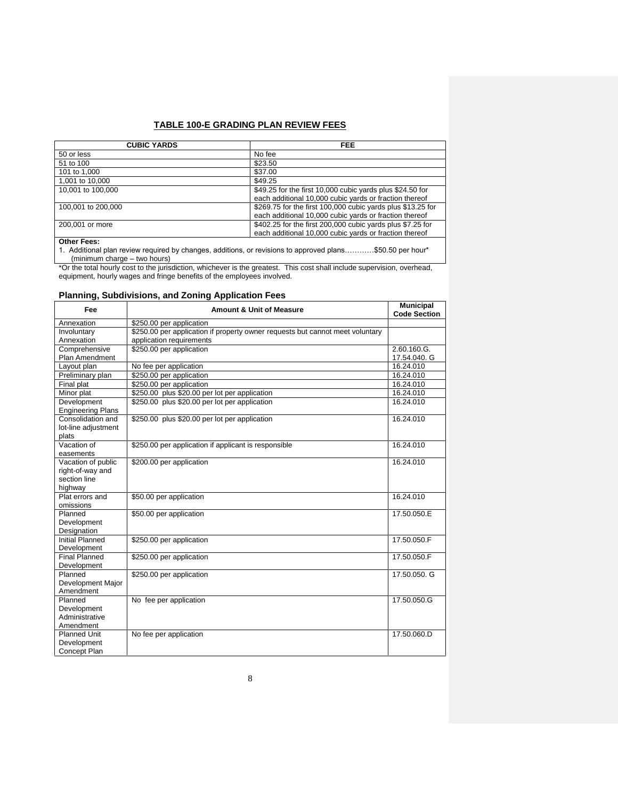### **TABLE 100-E GRADING PLAN REVIEW FEES**

| <b>CUBIC YARDS</b>                                                                                        | FEE                                                         |
|-----------------------------------------------------------------------------------------------------------|-------------------------------------------------------------|
| 50 or less                                                                                                | No fee                                                      |
| 51 to 100                                                                                                 | \$23.50                                                     |
| 101 to 1,000                                                                                              | \$37.00                                                     |
| 1,001 to 10,000                                                                                           | \$49.25                                                     |
| 10,001 to 100,000                                                                                         | \$49.25 for the first 10,000 cubic yards plus \$24.50 for   |
|                                                                                                           | each additional 10,000 cubic yards or fraction thereof      |
| 100,001 to 200,000                                                                                        | \$269.75 for the first 100,000 cubic yards plus \$13.25 for |
|                                                                                                           | each additional 10,000 cubic yards or fraction thereof      |
| 200,001 or more                                                                                           | \$402.25 for the first 200,000 cubic yards plus \$7.25 for  |
|                                                                                                           | each additional 10,000 cubic yards or fraction thereof      |
| <b>Other Fees:</b>                                                                                        |                                                             |
| 1. Additional plan review required by changes, additions, or revisions to approved plans\$50.50 per hour* |                                                             |

(minimum charge – two hours)

\*Or the total hourly cost to the jurisdiction, whichever is the greatest. This cost shall include supervision, overhead, equipment, hourly wages and fringe benefits of the employees involved.

### **Planning, Subdivisions, and Zoning Application Fees**

| Fee                                   | <b>Amount &amp; Unit of Measure</b>                                           | <b>Municipal</b><br><b>Code Section</b> |
|---------------------------------------|-------------------------------------------------------------------------------|-----------------------------------------|
| Annexation                            | \$250.00 per application                                                      |                                         |
| Involuntary                           | \$250.00 per application if property owner requests but cannot meet voluntary |                                         |
| Annexation                            | application requirements                                                      |                                         |
| Comprehensive                         | \$250.00 per application                                                      | 2.60.160.G.                             |
| Plan Amendment                        |                                                                               | 17.54.040. G                            |
| Layout plan                           | No fee per application                                                        | 16.24.010                               |
| Preliminary plan                      | \$250.00 per application                                                      | 16.24.010                               |
| Final plat                            | \$250.00 per application                                                      | 16.24.010                               |
| Minor plat                            | \$250.00 plus \$20.00 per lot per application                                 | 16.24.010                               |
| Development                           | \$250.00 plus \$20.00 per lot per application                                 | 16.24.010                               |
| <b>Engineering Plans</b>              |                                                                               |                                         |
| Consolidation and                     | \$250.00 plus \$20.00 per lot per application                                 | 16.24.010                               |
| lot-line adjustment                   |                                                                               |                                         |
| plats                                 |                                                                               |                                         |
| Vacation of                           | \$250.00 per application if applicant is responsible                          | 16.24.010                               |
| easements                             |                                                                               |                                         |
| Vacation of public                    | \$200.00 per application                                                      | 16.24.010                               |
| right-of-way and                      |                                                                               |                                         |
| section line                          |                                                                               |                                         |
| highway                               |                                                                               |                                         |
| Plat errors and                       | \$50.00 per application                                                       | 16.24.010                               |
| omissions                             |                                                                               |                                         |
| Planned                               | \$50.00 per application                                                       | 17.50.050.E                             |
| Development                           |                                                                               |                                         |
| Designation<br><b>Initial Planned</b> | \$250.00 per application                                                      | 17.50.050.F                             |
|                                       |                                                                               |                                         |
| Development<br><b>Final Planned</b>   | \$250.00 per application                                                      | 17.50.050.F                             |
| Development                           |                                                                               |                                         |
| Planned                               | \$250.00 per application                                                      | 17.50.050. G                            |
| Development Major                     |                                                                               |                                         |
| Amendment                             |                                                                               |                                         |
| Planned                               | No fee per application                                                        | 17.50.050.G                             |
| Development                           |                                                                               |                                         |
| Administrative                        |                                                                               |                                         |
| Amendment                             |                                                                               |                                         |
| <b>Planned Unit</b>                   | No fee per application                                                        | 17.50.060.D                             |
| Development                           |                                                                               |                                         |
| <b>Concept Plan</b>                   |                                                                               |                                         |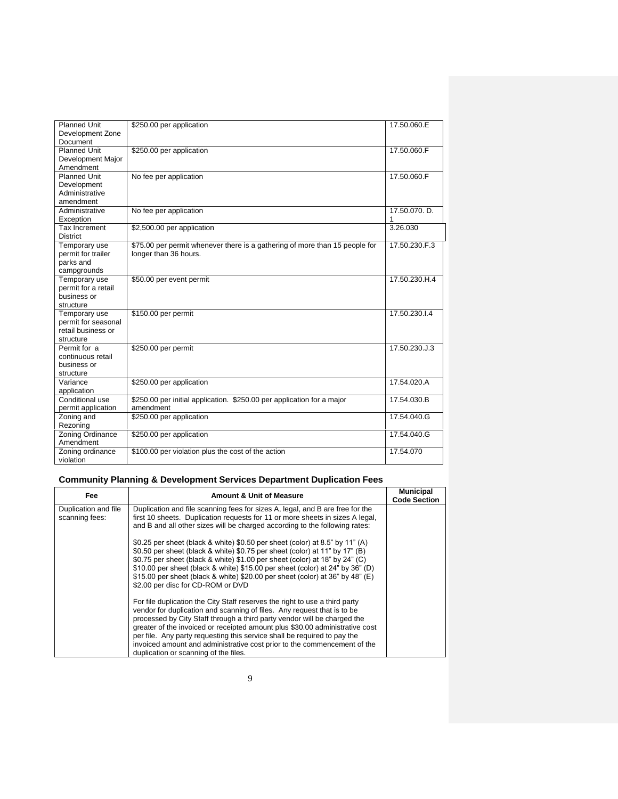| <b>Planned Unit</b> | \$250.00 per application                                                    | 17.50.060.E   |
|---------------------|-----------------------------------------------------------------------------|---------------|
| Development Zone    |                                                                             |               |
| Document            |                                                                             |               |
| <b>Planned Unit</b> | \$250.00 per application                                                    | 17.50.060.F   |
| Development Major   |                                                                             |               |
| Amendment           |                                                                             |               |
| <b>Planned Unit</b> | No fee per application                                                      | 17.50.060.F   |
| Development         |                                                                             |               |
| Administrative      |                                                                             |               |
| amendment           |                                                                             |               |
| Administrative      | No fee per application                                                      | 17.50.070. D. |
| Exception           |                                                                             |               |
| Tax Increment       | \$2,500.00 per application                                                  | 3.26.030      |
| <b>District</b>     |                                                                             |               |
| Temporary use       | \$75.00 per permit whenever there is a gathering of more than 15 people for | 17.50.230.F.3 |
| permit for trailer  | longer than 36 hours.                                                       |               |
| parks and           |                                                                             |               |
| campgrounds         |                                                                             |               |
| Temporary use       | \$50.00 per event permit                                                    | 17.50.230.H.4 |
| permit for a retail |                                                                             |               |
| business or         |                                                                             |               |
| structure           |                                                                             |               |
| Temporary use       | \$150.00 per permit                                                         | 17.50.230.I.4 |
| permit for seasonal |                                                                             |               |
| retail business or  |                                                                             |               |
| structure           |                                                                             |               |
| Permit for a        | \$250.00 per permit                                                         | 17.50.230.J.3 |
| continuous retail   |                                                                             |               |
| business or         |                                                                             |               |
| structure           |                                                                             |               |
| Variance            | \$250.00 per application                                                    | 17.54.020.A   |
| application         |                                                                             |               |
| Conditional use     | \$250.00 per initial application. \$250.00 per application for a major      | 17.54.030.B   |
| permit application  | amendment                                                                   |               |
| Zoning and          | \$250.00 per application                                                    | 17.54.040.G   |
| Rezoning            |                                                                             |               |
| Zoning Ordinance    | \$250.00 per application                                                    | 17.54.040.G   |
| Amendment           |                                                                             |               |
| Zoning ordinance    | \$100.00 per violation plus the cost of the action                          | 17.54.070     |
| violation           |                                                                             |               |

## **Community Planning & Development Services Department Duplication Fees**

| Fee                                    | <b>Amount &amp; Unit of Measure</b>                                                                                                                                                                                                                                                                                                                                                                                                                                                                                 | <b>Municipal</b><br><b>Code Section</b> |
|----------------------------------------|---------------------------------------------------------------------------------------------------------------------------------------------------------------------------------------------------------------------------------------------------------------------------------------------------------------------------------------------------------------------------------------------------------------------------------------------------------------------------------------------------------------------|-----------------------------------------|
| Duplication and file<br>scanning fees: | Duplication and file scanning fees for sizes A, legal, and B are free for the<br>first 10 sheets. Duplication requests for 11 or more sheets in sizes A legal,<br>and B and all other sizes will be charged according to the following rates:                                                                                                                                                                                                                                                                       |                                         |
|                                        | \$0.25 per sheet (black & white) \$0.50 per sheet (color) at 8.5" by 11" (A)<br>\$0.50 per sheet (black & white) \$0.75 per sheet (color) at 11" by 17" (B)<br>\$0.75 per sheet (black & white) \$1.00 per sheet (color) at 18" by 24" (C)<br>\$10.00 per sheet (black & white) \$15.00 per sheet (color) at 24" by 36" (D)<br>\$15.00 per sheet (black & white) \$20.00 per sheet (color) at 36" by 48" (E)<br>\$2.00 per disc for CD-ROM or DVD                                                                   |                                         |
|                                        | For file duplication the City Staff reserves the right to use a third party<br>vendor for duplication and scanning of files. Any request that is to be<br>processed by City Staff through a third party vendor will be charged the<br>greater of the invoiced or receipted amount plus \$30.00 administrative cost<br>per file. Any party requesting this service shall be required to pay the<br>invoiced amount and administrative cost prior to the commencement of the<br>duplication or scanning of the files. |                                         |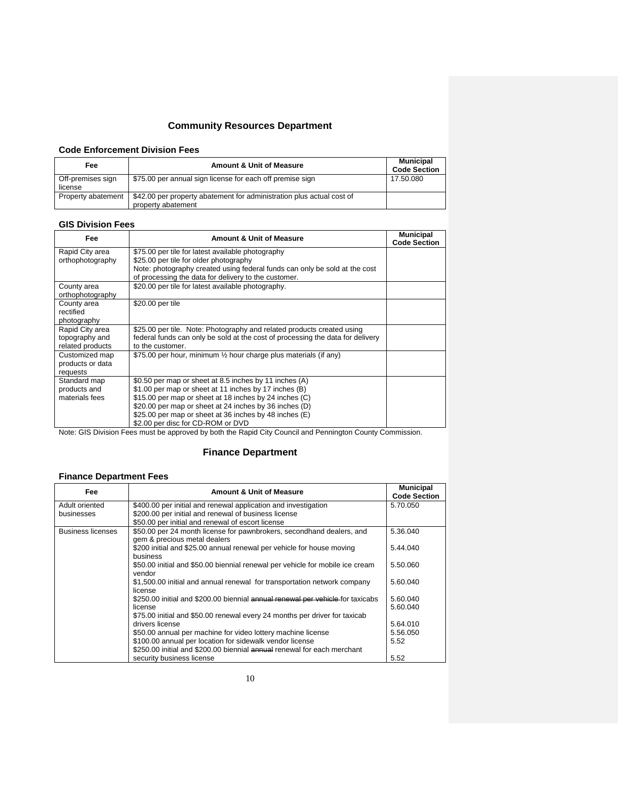### **Community Resources Department**

#### **Code Enforcement Division Fees**

| Fee                          | <b>Amount &amp; Unit of Measure</b>                                                         | Municipal<br><b>Code Section</b> |
|------------------------------|---------------------------------------------------------------------------------------------|----------------------------------|
| Off-premises sign<br>license | \$75.00 per annual sign license for each off premise sign                                   | 17.50.080                        |
| Property abatement           | \$42.00 per property abatement for administration plus actual cost of<br>property abatement |                                  |

#### **GIS Division Fees**

| Fee              | <b>Amount &amp; Unit of Measure</b>                                            | <b>Municipal</b><br><b>Code Section</b> |
|------------------|--------------------------------------------------------------------------------|-----------------------------------------|
| Rapid City area  | \$75.00 per tile for latest available photography                              |                                         |
| orthophotography | \$25.00 per tile for older photography                                         |                                         |
|                  | Note: photography created using federal funds can only be sold at the cost     |                                         |
|                  | of processing the data for delivery to the customer.                           |                                         |
| County area      | \$20.00 per tile for latest available photography.                             |                                         |
| orthophotography |                                                                                |                                         |
| County area      | \$20.00 per tile                                                               |                                         |
| rectified        |                                                                                |                                         |
| photography      |                                                                                |                                         |
| Rapid City area  | \$25.00 per tile. Note: Photography and related products created using         |                                         |
| topography and   | federal funds can only be sold at the cost of processing the data for delivery |                                         |
| related products | to the customer.                                                               |                                         |
| Customized map   | \$75.00 per hour, minimum $\frac{1}{2}$ hour charge plus materials (if any)    |                                         |
| products or data |                                                                                |                                         |
| requests         |                                                                                |                                         |
| Standard map     | \$0.50 per map or sheet at 8.5 inches by 11 inches (A)                         |                                         |
| products and     | \$1.00 per map or sheet at 11 inches by 17 inches (B)                          |                                         |
| materials fees   | \$15.00 per map or sheet at 18 inches by 24 inches (C)                         |                                         |
|                  | \$20.00 per map or sheet at 24 inches by 36 inches (D)                         |                                         |
|                  | \$25.00 per map or sheet at 36 inches by 48 inches (E)                         |                                         |
|                  | \$2.00 per disc for CD-ROM or DVD                                              |                                         |

Note: GIS Division Fees must be approved by both the Rapid City Council and Pennington County Commission.

## **Finance Department**

## **Finance Department Fees**

| Fee               | <b>Amount &amp; Unit of Measure</b>                                                                   | <b>Municipal</b><br><b>Code Section</b> |
|-------------------|-------------------------------------------------------------------------------------------------------|-----------------------------------------|
| Adult oriented    | \$400.00 per initial and renewal application and investigation                                        | 5.70.050                                |
| businesses        | \$200.00 per initial and renewal of business license                                                  |                                         |
|                   | \$50.00 per initial and renewal of escort license                                                     |                                         |
| Business licenses | \$50.00 per 24 month license for pawnbrokers, secondhand dealers, and<br>gem & precious metal dealers | 5.36.040                                |
|                   | \$200 initial and \$25.00 annual renewal per vehicle for house moving<br>business                     | 5.44.040                                |
|                   | \$50.00 initial and \$50.00 biennial renewal per vehicle for mobile ice cream<br>vendor               | 5.50.060                                |
|                   | \$1,500.00 initial and annual renewal for transportation network company<br>license                   | 5.60.040                                |
|                   | \$250.00 initial and \$200.00 biennial annual renewal per vehicle for taxicabs                        | 5.60.040                                |
|                   | license                                                                                               | 5.60.040                                |
|                   | \$75.00 initial and \$50.00 renewal every 24 months per driver for taxicab                            |                                         |
|                   | drivers license                                                                                       | 5.64.010                                |
|                   | \$50.00 annual per machine for video lottery machine license                                          | 5.56.050                                |
|                   | \$100.00 annual per location for sidewalk vendor license                                              | 5.52                                    |
|                   | \$250.00 initial and \$200.00 biennial annual renewal for each merchant                               |                                         |
|                   | security business license                                                                             | 5.52                                    |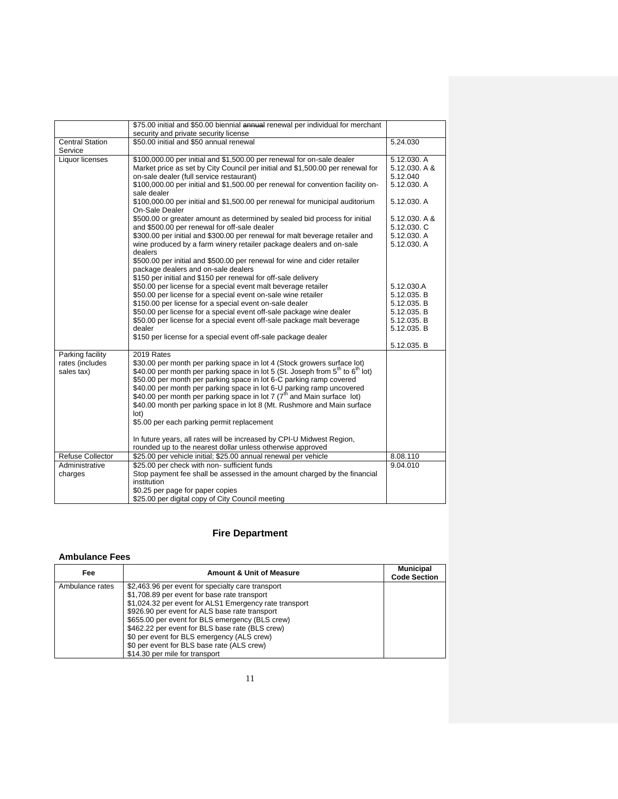|                         | \$75.00 initial and \$50.00 biennial annual renewal per individual for merchant                                  |               |
|-------------------------|------------------------------------------------------------------------------------------------------------------|---------------|
| <b>Central Station</b>  | security and private security license<br>\$50.00 initial and \$50 annual renewal                                 |               |
| Service                 |                                                                                                                  | 5.24.030      |
| Liquor licenses         | \$100,000.00 per initial and \$1,500.00 per renewal for on-sale dealer                                           | 5.12.030. A   |
|                         | Market price as set by City Council per initial and \$1,500.00 per renewal for                                   | 5.12.030. A & |
|                         | on-sale dealer (full service restaurant)                                                                         | 5.12.040      |
|                         | \$100,000.00 per initial and \$1,500.00 per renewal for convention facility on-<br>sale dealer                   | 5.12.030. A   |
|                         | \$100,000.00 per initial and \$1,500.00 per renewal for municipal auditorium<br>On-Sale Dealer                   | 5.12.030. A   |
|                         | \$500.00 or greater amount as determined by sealed bid process for initial                                       | 5.12.030. A & |
|                         | and \$500.00 per renewal for off-sale dealer                                                                     | 5.12.030. C   |
|                         | \$300.00 per initial and \$300.00 per renewal for malt beverage retailer and                                     | 5.12.030. A   |
|                         | wine produced by a farm winery retailer package dealers and on-sale<br>dealers                                   | 5.12.030. A   |
|                         | \$500.00 per initial and \$500.00 per renewal for wine and cider retailer<br>package dealers and on-sale dealers |               |
|                         | \$150 per initial and \$150 per renewal for off-sale delivery                                                    |               |
|                         | \$50.00 per license for a special event malt beverage retailer                                                   | 5.12.030.A    |
|                         | \$50.00 per license for a special event on-sale wine retailer                                                    | 5.12.035. B   |
|                         | \$150.00 per license for a special event on-sale dealer                                                          | 5.12.035. B   |
|                         | \$50.00 per license for a special event off-sale package wine dealer                                             | 5.12.035. B   |
|                         | \$50.00 per license for a special event off-sale package malt beverage                                           | 5.12.035. B   |
|                         | dealer                                                                                                           | 5.12.035. B   |
|                         | \$150 per license for a special event off-sale package dealer                                                    |               |
|                         |                                                                                                                  | 5.12.035. B   |
| Parking facility        | 2019 Rates                                                                                                       |               |
| rates (includes         | \$30.00 per month per parking space in lot 4 (Stock growers surface lot)                                         |               |
| sales tax)              | \$40.00 per month per parking space in lot 5 (St. Joseph from $5th$ to $6th$ lot)                                |               |
|                         | \$50.00 per month per parking space in lot 6-C parking ramp covered                                              |               |
|                         | \$40.00 per month per parking space in lot 6-U parking ramp uncovered                                            |               |
|                         | \$40.00 per month per parking space in lot 7 ( $7th$ and Main surface lot)                                       |               |
|                         | \$40.00 month per parking space in lot 8 (Mt. Rushmore and Main surface                                          |               |
|                         | lot)                                                                                                             |               |
|                         | \$5.00 per each parking permit replacement                                                                       |               |
|                         | In future years, all rates will be increased by CPI-U Midwest Region,                                            |               |
|                         | rounded up to the nearest dollar unless otherwise approved                                                       |               |
| <b>Refuse Collector</b> | \$25.00 per vehicle initial; \$25.00 annual renewal per vehicle                                                  | 8.08.110      |
| Administrative          | \$25.00 per check with non- sufficient funds                                                                     | 9.04.010      |
| charges                 | Stop payment fee shall be assessed in the amount charged by the financial                                        |               |
|                         | institution                                                                                                      |               |
|                         | \$0.25 per page for paper copies                                                                                 |               |
|                         | \$25.00 per digital copy of City Council meeting                                                                 |               |

## **Fire Department**

#### **Ambulance Fees**

| Fee             | <b>Amount &amp; Unit of Measure</b>                    | <b>Municipal</b><br><b>Code Section</b> |
|-----------------|--------------------------------------------------------|-----------------------------------------|
| Ambulance rates | \$2,463.96 per event for specialty care transport      |                                         |
|                 | \$1,708.89 per event for base rate transport           |                                         |
|                 | \$1,024.32 per event for ALS1 Emergency rate transport |                                         |
|                 | \$926.90 per event for ALS base rate transport         |                                         |
|                 | \$655.00 per event for BLS emergency (BLS crew)        |                                         |
|                 | \$462.22 per event for BLS base rate (BLS crew)        |                                         |
|                 | \$0 per event for BLS emergency (ALS crew)             |                                         |
|                 | \$0 per event for BLS base rate (ALS crew)             |                                         |
|                 | \$14.30 per mile for transport                         |                                         |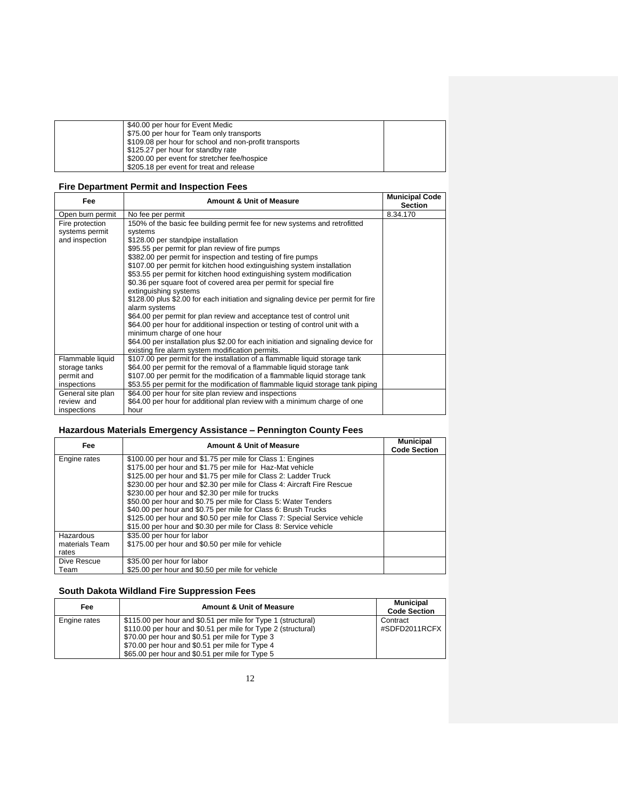| \$40.00 per hour for Event Medic                       |  |
|--------------------------------------------------------|--|
| \$75.00 per hour for Team only transports              |  |
| \$109.08 per hour for school and non-profit transports |  |
| \$125.27 per hour for standby rate                     |  |
| \$200.00 per event for stretcher fee/hospice           |  |
| \$205.18 per event for treat and release               |  |

### **Fire Department Permit and Inspection Fees**

| Fee               | <b>Amount &amp; Unit of Measure</b>                                               | <b>Municipal Code</b><br><b>Section</b> |
|-------------------|-----------------------------------------------------------------------------------|-----------------------------------------|
| Open burn permit  | No fee per permit                                                                 | 8.34.170                                |
| Fire protection   | 150% of the basic fee building permit fee for new systems and retrofitted         |                                         |
| systems permit    | systems                                                                           |                                         |
| and inspection    | \$128.00 per standpipe installation                                               |                                         |
|                   | \$95.55 per permit for plan review of fire pumps                                  |                                         |
|                   | \$382.00 per permit for inspection and testing of fire pumps                      |                                         |
|                   | \$107.00 per permit for kitchen hood extinguishing system installation            |                                         |
|                   | \$53.55 per permit for kitchen hood extinguishing system modification             |                                         |
|                   | \$0.36 per square foot of covered area per permit for special fire                |                                         |
|                   | extinguishing systems                                                             |                                         |
|                   | \$128.00 plus \$2.00 for each initiation and signaling device per permit for fire |                                         |
|                   | alarm systems                                                                     |                                         |
|                   | \$64.00 per permit for plan review and acceptance test of control unit            |                                         |
|                   | \$64.00 per hour for additional inspection or testing of control unit with a      |                                         |
|                   | minimum charge of one hour                                                        |                                         |
|                   | \$64.00 per installation plus \$2.00 for each initiation and signaling device for |                                         |
|                   | existing fire alarm system modification permits.                                  |                                         |
| Flammable liquid  | \$107.00 per permit for the installation of a flammable liquid storage tank       |                                         |
| storage tanks     | \$64.00 per permit for the removal of a flammable liquid storage tank             |                                         |
| permit and        | \$107.00 per permit for the modification of a flammable liquid storage tank       |                                         |
| inspections       | \$53.55 per permit for the modification of flammable liquid storage tank piping   |                                         |
| General site plan | \$64.00 per hour for site plan review and inspections                             |                                         |
| review and        | \$64.00 per hour for additional plan review with a minimum charge of one          |                                         |
| inspections       | hour                                                                              |                                         |

### **Hazardous Materials Emergency Assistance – Pennington County Fees**

| Fee            | <b>Amount &amp; Unit of Measure</b>                                        | <b>Municipal</b><br><b>Code Section</b> |
|----------------|----------------------------------------------------------------------------|-----------------------------------------|
| Engine rates   | \$100.00 per hour and \$1.75 per mile for Class 1: Engines                 |                                         |
|                | \$175.00 per hour and \$1.75 per mile for Haz-Mat vehicle                  |                                         |
|                | \$125.00 per hour and \$1.75 per mile for Class 2: Ladder Truck            |                                         |
|                | \$230.00 per hour and \$2.30 per mile for Class 4: Aircraft Fire Rescue    |                                         |
|                | \$230.00 per hour and \$2.30 per mile for trucks                           |                                         |
|                | \$50.00 per hour and \$0.75 per mile for Class 5: Water Tenders            |                                         |
|                | \$40.00 per hour and \$0.75 per mile for Class 6: Brush Trucks             |                                         |
|                | \$125.00 per hour and \$0.50 per mile for Class 7: Special Service vehicle |                                         |
|                | \$15.00 per hour and \$0.30 per mile for Class 8: Service vehicle          |                                         |
| Hazardous      | \$35.00 per hour for labor                                                 |                                         |
| materials Team | \$175.00 per hour and \$0.50 per mile for vehicle                          |                                         |
| rates          |                                                                            |                                         |
| Dive Rescue    | \$35.00 per hour for labor                                                 |                                         |
| Team           | \$25.00 per hour and \$0.50 per mile for vehicle                           |                                         |

## **South Dakota Wildland Fire Suppression Fees**

| Fee          | <b>Amount &amp; Unit of Measure</b>                                                                                                                                                                                                                                                     | Municipal<br><b>Code Section</b> |
|--------------|-----------------------------------------------------------------------------------------------------------------------------------------------------------------------------------------------------------------------------------------------------------------------------------------|----------------------------------|
| Engine rates | \$115.00 per hour and \$0.51 per mile for Type 1 (structural)<br>\$110.00 per hour and \$0.51 per mile for Type 2 (structural)<br>\$70.00 per hour and \$0.51 per mile for Type 3<br>\$70.00 per hour and \$0.51 per mile for Type 4<br>\$65.00 per hour and \$0.51 per mile for Type 5 | Contract<br>#SDFD2011RCFX        |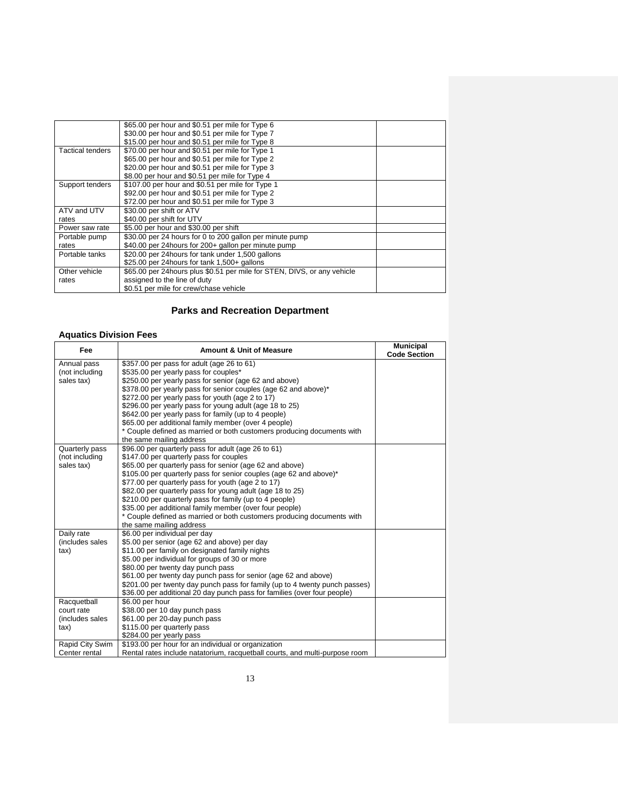|                  | \$65.00 per hour and \$0.51 per mile for Type 6                         |  |
|------------------|-------------------------------------------------------------------------|--|
|                  | \$30.00 per hour and \$0.51 per mile for Type 7                         |  |
|                  | \$15.00 per hour and \$0.51 per mile for Type 8                         |  |
| Tactical tenders | \$70.00 per hour and \$0.51 per mile for Type 1                         |  |
|                  | \$65.00 per hour and \$0.51 per mile for Type 2                         |  |
|                  | \$20.00 per hour and \$0.51 per mile for Type 3                         |  |
|                  | \$8.00 per hour and \$0.51 per mile for Type 4                          |  |
| Support tenders  | \$107.00 per hour and \$0.51 per mile for Type 1                        |  |
|                  | \$92.00 per hour and \$0.51 per mile for Type 2                         |  |
|                  | \$72.00 per hour and \$0.51 per mile for Type 3                         |  |
| ATV and UTV      | \$30.00 per shift or ATV                                                |  |
| rates            | \$40.00 per shift for UTV                                               |  |
| Power saw rate   | \$5.00 per hour and \$30.00 per shift                                   |  |
| Portable pump    | \$30.00 per 24 hours for 0 to 200 gallon per minute pump                |  |
| rates            | \$40.00 per 24 hours for 200+ gallon per minute pump                    |  |
| Portable tanks   | \$20.00 per 24hours for tank under 1,500 gallons                        |  |
|                  | \$25.00 per 24 hours for tank 1,500+ gallons                            |  |
| Other vehicle    | \$65.00 per 24hours plus \$0.51 per mile for STEN, DIVS, or any vehicle |  |
| rates            | assigned to the line of duty                                            |  |
|                  | \$0.51 per mile for crew/chase vehicle                                  |  |

## **Parks and Recreation Department**

### **Aquatics Division Fees**

| Fee             | <b>Amount &amp; Unit of Measure</b>                                         | <b>Municipal</b><br><b>Code Section</b> |
|-----------------|-----------------------------------------------------------------------------|-----------------------------------------|
| Annual pass     | \$357.00 per pass for adult (age 26 to 61)                                  |                                         |
| (not including  | \$535.00 per yearly pass for couples*                                       |                                         |
| sales tax)      | \$250.00 per yearly pass for senior (age 62 and above)                      |                                         |
|                 | \$378.00 per yearly pass for senior couples (age 62 and above)*             |                                         |
|                 | \$272.00 per yearly pass for youth (age 2 to 17)                            |                                         |
|                 | \$296.00 per yearly pass for young adult (age 18 to 25)                     |                                         |
|                 | \$642.00 per yearly pass for family (up to 4 people)                        |                                         |
|                 | \$65.00 per additional family member (over 4 people)                        |                                         |
|                 | * Couple defined as married or both customers producing documents with      |                                         |
|                 | the same mailing address                                                    |                                         |
| Quarterly pass  | \$96.00 per quarterly pass for adult (age 26 to 61)                         |                                         |
| (not including  | \$147.00 per quarterly pass for couples                                     |                                         |
| sales tax)      | \$65.00 per quarterly pass for senior (age 62 and above)                    |                                         |
|                 | \$105.00 per quarterly pass for senior couples (age 62 and above)*          |                                         |
|                 | \$77.00 per quarterly pass for youth (age 2 to 17)                          |                                         |
|                 | \$82.00 per quarterly pass for young adult (age 18 to 25)                   |                                         |
|                 | \$210.00 per quarterly pass for family (up to 4 people)                     |                                         |
|                 | \$35.00 per additional family member (over four people)                     |                                         |
|                 | * Couple defined as married or both customers producing documents with      |                                         |
|                 | the same mailing address                                                    |                                         |
| Daily rate      | \$6.00 per individual per day                                               |                                         |
| (includes sales | \$5.00 per senior (age 62 and above) per day                                |                                         |
| tax)            | \$11.00 per family on designated family nights                              |                                         |
|                 | \$5.00 per individual for groups of 30 or more                              |                                         |
|                 | \$80.00 per twenty day punch pass                                           |                                         |
|                 | \$61.00 per twenty day punch pass for senior (age 62 and above)             |                                         |
|                 | \$201.00 per twenty day punch pass for family (up to 4 twenty punch passes) |                                         |
|                 | \$36.00 per additional 20 day punch pass for families (over four people)    |                                         |
| Racquetball     | \$6.00 per hour                                                             |                                         |
| court rate      | \$38.00 per 10 day punch pass                                               |                                         |
| (includes sales | \$61.00 per 20 day punch pass                                               |                                         |
| $\{$ ax $\}$    | \$115.00 per quarterly pass                                                 |                                         |
|                 | \$284.00 per yearly pass                                                    |                                         |
| Rapid City Swim | \$193.00 per hour for an individual or organization                         |                                         |
| Center rental   | Rental rates include natatorium, racquetball courts, and multi-purpose room |                                         |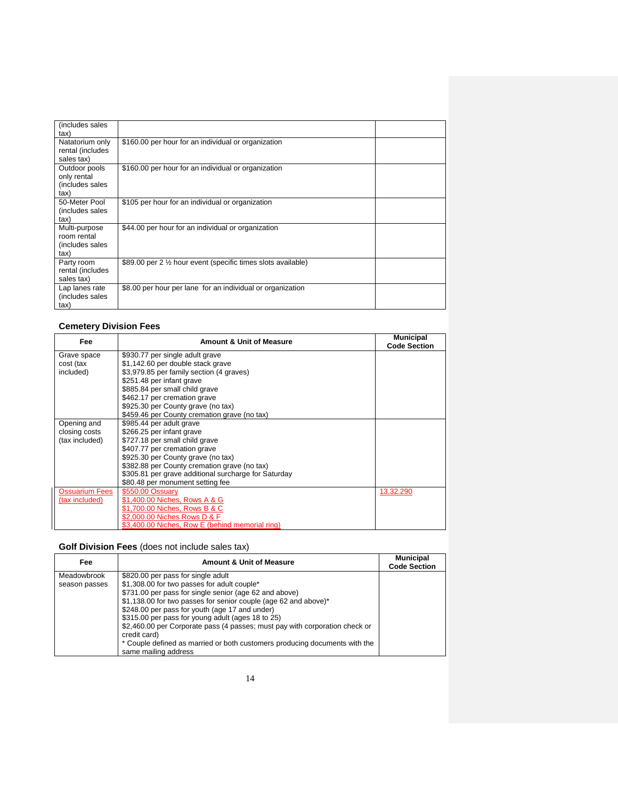| (includes sales<br>tax)                                 |                                                               |  |
|---------------------------------------------------------|---------------------------------------------------------------|--|
| Natatorium only<br>rental (includes<br>sales tax)       | \$160.00 per hour for an individual or organization           |  |
| Outdoor pools<br>only rental<br>(includes sales<br>tax) | \$160.00 per hour for an individual or organization           |  |
| 50-Meter Pool<br>(includes sales<br>tax)                | \$105 per hour for an individual or organization              |  |
| Multi-purpose<br>room rental<br>(includes sales<br>tax) | \$44.00 per hour for an individual or organization            |  |
| Party room<br>rental (includes<br>sales tax)            | \$89.00 per 2 1/2 hour event (specific times slots available) |  |
| Lap lanes rate<br>(includes sales<br>tax)               | \$8.00 per hour per lane for an individual or organization    |  |

### **Cemetery Division Fees**

| Fee                   | <b>Amount &amp; Unit of Measure</b>                  | <b>Municipal</b><br><b>Code Section</b> |
|-----------------------|------------------------------------------------------|-----------------------------------------|
| Grave space           | \$930.77 per single adult grave                      |                                         |
| cost (tax             | \$1,142.60 per double stack grave                    |                                         |
| included)             | \$3,979.85 per family section (4 graves)             |                                         |
|                       | \$251.48 per infant grave                            |                                         |
|                       | \$885.84 per small child grave                       |                                         |
|                       | \$462.17 per cremation grave                         |                                         |
|                       | \$925.30 per County grave (no tax)                   |                                         |
|                       | \$459.46 per County cremation grave (no tax)         |                                         |
| Opening and           | \$985.44 per adult grave                             |                                         |
| closing costs         | \$266.25 per infant grave                            |                                         |
| (tax included)        | \$727.18 per small child grave                       |                                         |
|                       | \$407.77 per cremation grave                         |                                         |
|                       | \$925.30 per County grave (no tax)                   |                                         |
|                       | \$382.88 per County cremation grave (no tax)         |                                         |
|                       | \$305.81 per grave additional surcharge for Saturday |                                         |
|                       | \$80.48 per monument setting fee                     |                                         |
| <b>Ossuarium Fees</b> | \$550.00 Ossuary                                     | 13.32.290                               |
| (tax included)        | \$1,400.00 Niches, Rows A & G                        |                                         |
|                       | \$1,700.00 Niches, Rows B & C                        |                                         |
|                       | \$2,000.00 Niches Rows D & F                         |                                         |
|                       | \$3,400.00 Niches, Row E (behind memorial ring)      |                                         |

#### **Golf Division Fees** (does not include sales tax)

| Fee           | <b>Amount &amp; Unit of Measure</b>                                         | <b>Municipal</b><br><b>Code Section</b> |
|---------------|-----------------------------------------------------------------------------|-----------------------------------------|
| Meadowbrook   | \$820.00 per pass for single adult                                          |                                         |
| season passes | \$1,308.00 for two passes for adult couple*                                 |                                         |
|               | \$731.00 per pass for single senior (age 62 and above)                      |                                         |
|               | \$1,138.00 for two passes for senior couple (age 62 and above)*             |                                         |
|               | \$248.00 per pass for youth (age 17 and under)                              |                                         |
|               | \$315.00 per pass for young adult (ages 18 to 25)                           |                                         |
|               | \$2,460.00 per Corporate pass (4 passes; must pay with corporation check or |                                         |
|               | credit card)                                                                |                                         |
|               | * Couple defined as married or both customers producing documents with the  |                                         |
|               | same mailing address                                                        |                                         |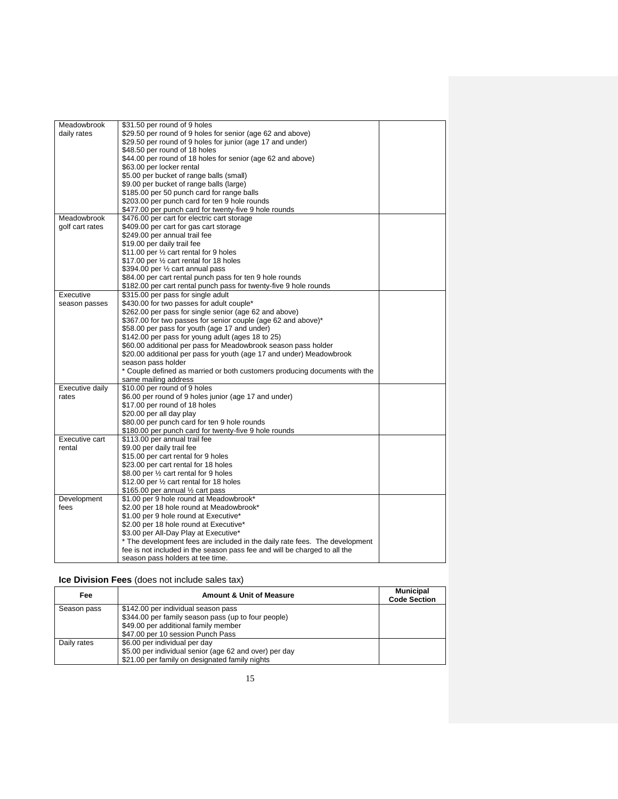| Meadowbrook     | \$31.50 per round of 9 holes                                                |  |
|-----------------|-----------------------------------------------------------------------------|--|
| daily rates     | \$29.50 per round of 9 holes for senior (age 62 and above)                  |  |
|                 | \$29.50 per round of 9 holes for junior (age 17 and under)                  |  |
|                 | \$48.50 per round of 18 holes                                               |  |
|                 | \$44.00 per round of 18 holes for senior (age 62 and above)                 |  |
|                 |                                                                             |  |
|                 | \$63.00 per locker rental                                                   |  |
|                 | \$5.00 per bucket of range balls (small)                                    |  |
|                 | \$9.00 per bucket of range balls (large)                                    |  |
|                 | \$185.00 per 50 punch card for range balls                                  |  |
|                 | \$203.00 per punch card for ten 9 hole rounds                               |  |
|                 | \$477.00 per punch card for twenty-five 9 hole rounds                       |  |
| Meadowbrook     | \$476.00 per cart for electric cart storage                                 |  |
| golf cart rates | \$409.00 per cart for gas cart storage                                      |  |
|                 | \$249.00 per annual trail fee                                               |  |
|                 | \$19.00 per daily trail fee                                                 |  |
|                 | \$11.00 per 1/2 cart rental for 9 holes                                     |  |
|                 | \$17.00 per 1/2 cart rental for 18 holes                                    |  |
|                 | \$394.00 per 1/2 cart annual pass                                           |  |
|                 | \$84.00 per cart rental punch pass for ten 9 hole rounds                    |  |
|                 | \$182.00 per cart rental punch pass for twenty-five 9 hole rounds           |  |
| Executive       | \$315.00 per pass for single adult                                          |  |
| season passes   | \$430.00 for two passes for adult couple*                                   |  |
|                 | \$262.00 per pass for single senior (age 62 and above)                      |  |
|                 | \$367.00 for two passes for senior couple (age 62 and above)*               |  |
|                 | \$58.00 per pass for youth (age 17 and under)                               |  |
|                 | \$142.00 per pass for young adult (ages 18 to 25)                           |  |
|                 | \$60.00 additional per pass for Meadowbrook season pass holder              |  |
|                 | \$20.00 additional per pass for youth (age 17 and under) Meadowbrook        |  |
|                 | season pass holder                                                          |  |
|                 | * Couple defined as married or both customers producing documents with the  |  |
|                 | same mailing address                                                        |  |
| Executive daily | \$10.00 per round of 9 holes                                                |  |
| rates           | \$6.00 per round of 9 holes junior (age 17 and under)                       |  |
|                 | \$17.00 per round of 18 holes                                               |  |
|                 | \$20.00 per all day play                                                    |  |
|                 | \$80.00 per punch card for ten 9 hole rounds                                |  |
|                 | \$180.00 per punch card for twenty-five 9 hole rounds                       |  |
| Executive cart  | \$113.00 per annual trail fee                                               |  |
| rental          | \$9.00 per daily trail fee                                                  |  |
|                 | \$15.00 per cart rental for 9 holes                                         |  |
|                 | \$23.00 per cart rental for 18 holes                                        |  |
|                 | \$8.00 per 1/2 cart rental for 9 holes                                      |  |
|                 | \$12.00 per 1/2 cart rental for 18 holes                                    |  |
|                 | \$165.00 per annual 1/2 cart pass                                           |  |
| Development     | \$1.00 per 9 hole round at Meadowbrook*                                     |  |
| fees            | \$2.00 per 18 hole round at Meadowbrook*                                    |  |
|                 | \$1.00 per 9 hole round at Executive*                                       |  |
|                 | \$2.00 per 18 hole round at Executive*                                      |  |
|                 | \$3.00 per All-Day Play at Executive*                                       |  |
|                 | * The development fees are included in the daily rate fees. The development |  |
|                 | fee is not included in the season pass fee and will be charged to all the   |  |
|                 | season pass holders at tee time.                                            |  |
|                 |                                                                             |  |

### **Ice Division Fees** (does not include sales tax)

| Fee         | <b>Amount &amp; Unit of Measure</b>                    | <b>Municipal</b><br><b>Code Section</b> |
|-------------|--------------------------------------------------------|-----------------------------------------|
| Season pass | \$142.00 per individual season pass                    |                                         |
|             | \$344.00 per family season pass (up to four people)    |                                         |
|             | \$49.00 per additional family member                   |                                         |
|             | \$47.00 per 10 session Punch Pass                      |                                         |
| Daily rates | \$6.00 per individual per day                          |                                         |
|             | \$5.00 per individual senior (age 62 and over) per day |                                         |
|             | \$21.00 per family on designated family nights         |                                         |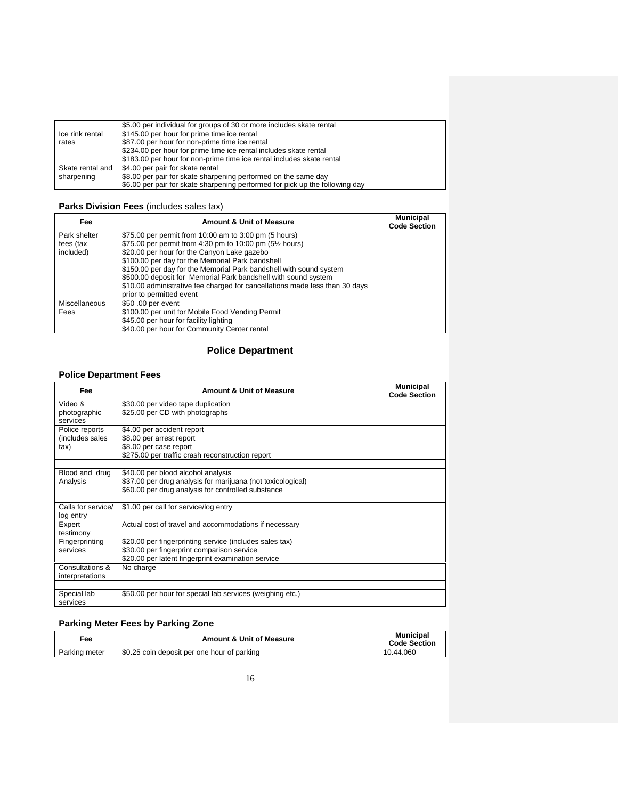|                  | \$5.00 per individual for groups of 30 or more includes skate rental         |  |
|------------------|------------------------------------------------------------------------------|--|
| Ice rink rental  | \$145.00 per hour for prime time ice rental                                  |  |
| rates            | \$87.00 per hour for non-prime time ice rental                               |  |
|                  | \$234.00 per hour for prime time ice rental includes skate rental            |  |
|                  | \$183.00 per hour for non-prime time ice rental includes skate rental        |  |
| Skate rental and | \$4.00 per pair for skate rental                                             |  |
| sharpening       | \$8.00 per pair for skate sharpening performed on the same day               |  |
|                  | \$6.00 per pair for skate sharpening performed for pick up the following day |  |

### **Parks Division Fees** (includes sales tax)

| Fee           | <b>Amount &amp; Unit of Measure</b>                                         | <b>Municipal</b><br><b>Code Section</b> |
|---------------|-----------------------------------------------------------------------------|-----------------------------------------|
| Park shelter  | \$75.00 per permit from 10:00 am to 3:00 pm (5 hours)                       |                                         |
| fees (tax     | \$75.00 per permit from 4:30 pm to 10:00 pm (5 <sup>1/2</sup> hours)        |                                         |
| included)     | \$20.00 per hour for the Canyon Lake gazebo                                 |                                         |
|               | \$100.00 per day for the Memorial Park bandshell                            |                                         |
|               | \$150.00 per day for the Memorial Park bandshell with sound system          |                                         |
|               | \$500.00 deposit for Memorial Park bandshell with sound system              |                                         |
|               | \$10.00 administrative fee charged for cancellations made less than 30 days |                                         |
|               | prior to permitted event                                                    |                                         |
| Miscellaneous | \$50,00 per event                                                           |                                         |
| Fees          | \$100.00 per unit for Mobile Food Vending Permit                            |                                         |
|               | \$45.00 per hour for facility lighting                                      |                                         |
|               | \$40.00 per hour for Community Center rental                                |                                         |

## **Police Department**

### **Police Department Fees**

| Fee                                       | <b>Amount &amp; Unit of Measure</b>                                                                                                                         | <b>Municipal</b><br><b>Code Section</b> |
|-------------------------------------------|-------------------------------------------------------------------------------------------------------------------------------------------------------------|-----------------------------------------|
| Video &<br>photographic<br>services       | \$30.00 per video tape duplication<br>\$25.00 per CD with photographs                                                                                       |                                         |
| Police reports<br>(includes sales<br>tax) | \$4.00 per accident report<br>\$8.00 per arrest report<br>\$8.00 per case report<br>\$275.00 per traffic crash reconstruction report                        |                                         |
| Blood and drug<br>Analysis                | \$40.00 per blood alcohol analysis<br>\$37.00 per drug analysis for marijuana (not toxicological)<br>\$60.00 per drug analysis for controlled substance     |                                         |
| Calls for service/<br>log entry           | \$1.00 per call for service/log entry                                                                                                                       |                                         |
| Expert<br>testimony                       | Actual cost of travel and accommodations if necessary                                                                                                       |                                         |
| Fingerprinting<br>services                | \$20.00 per fingerprinting service (includes sales tax)<br>\$30.00 per fingerprint comparison service<br>\$20.00 per latent fingerprint examination service |                                         |
| Consultations &<br>interpretations        | No charge                                                                                                                                                   |                                         |
| Special lab<br>services                   | \$50.00 per hour for special lab services (weighing etc.)                                                                                                   |                                         |

# **Parking Meter Fees by Parking Zone**

| Fee           | <b>Amount &amp; Unit of Measure</b>         | <b>Municipal</b><br><b>Code Section</b> |
|---------------|---------------------------------------------|-----------------------------------------|
| Parking meter | \$0.25 coin deposit per one hour of parking | 10.44.060                               |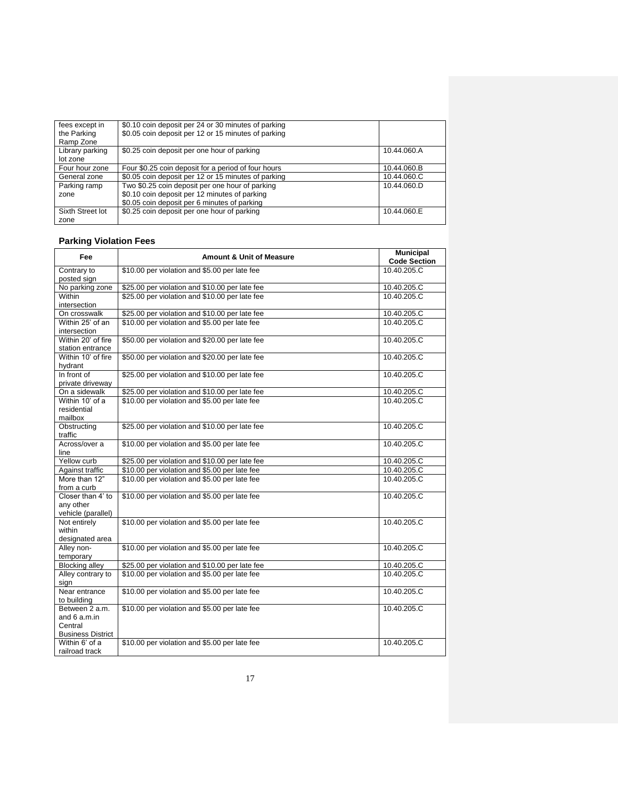| fees except in   | \$0.10 coin deposit per 24 or 30 minutes of parking |             |
|------------------|-----------------------------------------------------|-------------|
| the Parking      | \$0.05 coin deposit per 12 or 15 minutes of parking |             |
| Ramp Zone        |                                                     |             |
| Library parking  | \$0.25 coin deposit per one hour of parking         | 10.44.060.A |
| lot zone         |                                                     |             |
| Four hour zone   | Four \$0.25 coin deposit for a period of four hours | 10.44.060.B |
| General zone     | \$0.05 coin deposit per 12 or 15 minutes of parking | 10.44.060.C |
| Parking ramp     | Two \$0.25 coin deposit per one hour of parking     | 10.44.060.D |
| zone             | \$0.10 coin deposit per 12 minutes of parking       |             |
|                  | \$0.05 coin deposit per 6 minutes of parking        |             |
| Sixth Street lot | \$0.25 coin deposit per one hour of parking         | 10.44.060.E |
| zone             |                                                     |             |

## **Parking Violation Fees**

| Fee                        | <b>Amount &amp; Unit of Measure</b>            | <b>Municipal</b><br><b>Code Section</b> |
|----------------------------|------------------------------------------------|-----------------------------------------|
| Contrary to<br>posted sign | \$10.00 per violation and \$5.00 per late fee  | 10.40.205.C                             |
| No parking zone            | \$25.00 per violation and \$10.00 per late fee | 10.40.205.C                             |
| Within                     | \$25.00 per violation and \$10.00 per late fee | 10.40.205.C                             |
| intersection               |                                                |                                         |
| On crosswalk               | \$25.00 per violation and \$10.00 per late fee | 10.40.205.C                             |
| Within 25' of an           | \$10.00 per violation and \$5.00 per late fee  | 10.40.205.C                             |
| intersection               |                                                |                                         |
| Within 20' of fire         | \$50.00 per violation and \$20.00 per late fee | 10.40.205.C                             |
| station entrance           |                                                |                                         |
| Within 10' of fire         | \$50.00 per violation and \$20.00 per late fee | 10.40.205.C                             |
| hydrant                    |                                                |                                         |
| In front of                | \$25.00 per violation and \$10.00 per late fee | 10.40.205.C                             |
| private driveway           |                                                |                                         |
| On a sidewalk              | \$25.00 per violation and \$10.00 per late fee | 10.40.205.C                             |
| Within 10' of a            | \$10.00 per violation and \$5.00 per late fee  | 10.40.205.C                             |
| residential<br>mailbox     |                                                |                                         |
| Obstructing                | \$25.00 per violation and \$10.00 per late fee | 10.40.205.C                             |
| traffic                    |                                                |                                         |
| Across/over a              | \$10.00 per violation and \$5.00 per late fee  | 10.40.205.C                             |
| line                       |                                                |                                         |
| Yellow curb                | \$25.00 per violation and \$10.00 per late fee | 10.40.205.C                             |
| Against traffic            | \$10.00 per violation and \$5.00 per late fee  | 10.40.205.C                             |
| More than 12"              | \$10.00 per violation and \$5.00 per late fee  | 10.40.205.C                             |
| from a curb                |                                                |                                         |
| Closer than 4' to          | \$10.00 per violation and \$5.00 per late fee  | 10.40.205.C                             |
| any other                  |                                                |                                         |
| vehicle (parallel)         |                                                |                                         |
| Not entirely               | \$10.00 per violation and \$5.00 per late fee  | 10.40.205.C                             |
| within                     |                                                |                                         |
| designated area            |                                                |                                         |
| Alley non-<br>temporary    | \$10.00 per violation and \$5.00 per late fee  | 10.40.205.C                             |
| <b>Blocking alley</b>      | \$25.00 per violation and \$10.00 per late fee | 10.40.205.C                             |
| Alley contrary to          | \$10.00 per violation and \$5.00 per late fee  | 10.40.205.C                             |
| sian                       |                                                |                                         |
| Near entrance              | \$10.00 per violation and \$5.00 per late fee  | 10.40.205.C                             |
| to building                |                                                |                                         |
| Between 2 a.m.             | \$10.00 per violation and \$5.00 per late fee  | 10.40.205.C                             |
| and $6a.m.in$              |                                                |                                         |
| Central                    |                                                |                                         |
| <b>Business District</b>   |                                                |                                         |
| Within 6' of a             | \$10.00 per violation and \$5.00 per late fee  | 10.40.205.C                             |
| railroad track             |                                                |                                         |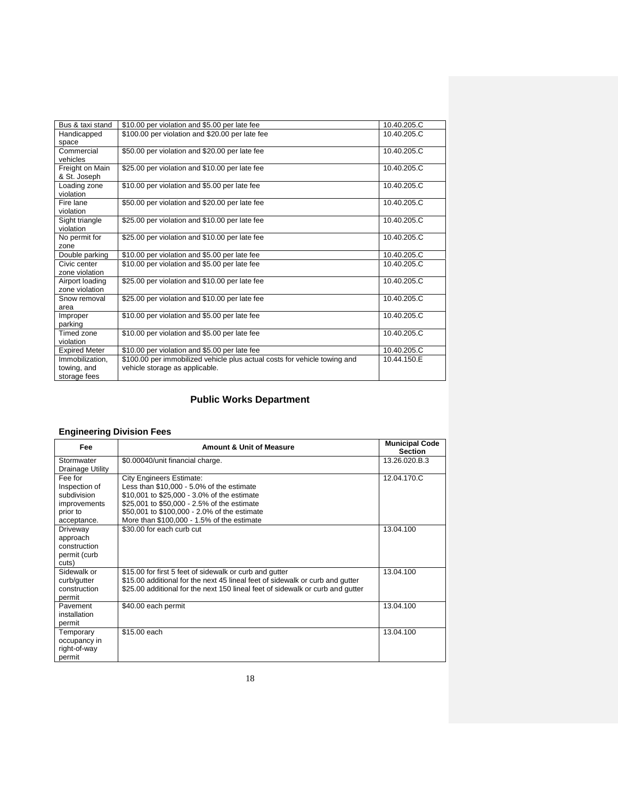| Bus & taxi stand     | \$10.00 per violation and \$5.00 per late fee                             | 10.40.205.C |
|----------------------|---------------------------------------------------------------------------|-------------|
| Handicapped          | \$100.00 per violation and \$20.00 per late fee                           | 10.40.205.C |
| space                |                                                                           |             |
| Commercial           | \$50.00 per violation and \$20.00 per late fee                            | 10.40.205.C |
| vehicles             |                                                                           |             |
| Freight on Main      | \$25.00 per violation and \$10.00 per late fee                            | 10.40.205.C |
| & St. Joseph         |                                                                           |             |
| Loading zone         | \$10.00 per violation and \$5.00 per late fee                             | 10.40.205.C |
| violation            |                                                                           |             |
| Fire lane            | \$50.00 per violation and \$20.00 per late fee                            | 10.40.205.C |
| violation            |                                                                           |             |
| Sight triangle       | \$25.00 per violation and \$10.00 per late fee                            | 10.40.205.C |
| violation            |                                                                           |             |
| No permit for        | \$25.00 per violation and \$10.00 per late fee                            | 10.40.205.C |
| zone                 |                                                                           |             |
| Double parking       | \$10.00 per violation and \$5.00 per late fee                             | 10.40.205.C |
| Civic center         | \$10.00 per violation and \$5.00 per late fee                             | 10.40.205.C |
| zone violation       |                                                                           |             |
| Airport loading      | \$25.00 per violation and \$10.00 per late fee                            | 10.40.205.C |
| zone violation       |                                                                           |             |
| Snow removal         | \$25.00 per violation and \$10.00 per late fee                            | 10.40.205.C |
| area                 |                                                                           |             |
| Improper             | \$10.00 per violation and \$5.00 per late fee                             | 10.40.205.C |
| parking              |                                                                           |             |
| Timed zone           | \$10.00 per violation and \$5.00 per late fee                             | 10.40.205.C |
| violation            |                                                                           |             |
| <b>Expired Meter</b> | \$10.00 per violation and \$5.00 per late fee                             | 10.40.205.C |
| Immobilization.      | \$100.00 per immobilized vehicle plus actual costs for vehicle towing and | 10.44.150.E |
| towing, and          | vehicle storage as applicable.                                            |             |
| storage fees         |                                                                           |             |

## **Public Works Department**

### **Engineering Division Fees**

| Fee                                                                                | <b>Amount &amp; Unit of Measure</b>                                                                                                                                                                                                                                      | <b>Municipal Code</b><br><b>Section</b> |
|------------------------------------------------------------------------------------|--------------------------------------------------------------------------------------------------------------------------------------------------------------------------------------------------------------------------------------------------------------------------|-----------------------------------------|
| Stormwater<br>Drainage Utility                                                     | \$0.00040/unit financial charge.                                                                                                                                                                                                                                         | 13.26.020.B.3                           |
| Fee for<br>Inspection of<br>subdivision<br>improvements<br>prior to<br>acceptance. | <b>City Engineers Estimate:</b><br>Less than \$10,000 - 5.0% of the estimate<br>\$10,001 to \$25,000 - 3.0% of the estimate<br>\$25,001 to \$50,000 - 2.5% of the estimate<br>\$50,001 to \$100,000 - 2.0% of the estimate<br>More than \$100,000 - 1.5% of the estimate | 12.04.170.C                             |
| Driveway<br>approach<br>construction<br>permit (curb<br>cuts)                      | \$30.00 for each curb cut                                                                                                                                                                                                                                                | 13.04.100                               |
| Sidewalk or<br>curb/gutter<br>construction<br>permit                               | \$15.00 for first 5 feet of sidewalk or curb and gutter<br>\$15.00 additional for the next 45 lineal feet of sidewalk or curb and gutter<br>\$25.00 additional for the next 150 lineal feet of sidewalk or curb and gutter                                               | 13.04.100                               |
| Pavement<br>installation<br>permit                                                 | \$40.00 each permit                                                                                                                                                                                                                                                      | 13.04.100                               |
| Temporary<br>occupancy in<br>right-of-way<br>permit                                | \$15.00 each                                                                                                                                                                                                                                                             | 13.04.100                               |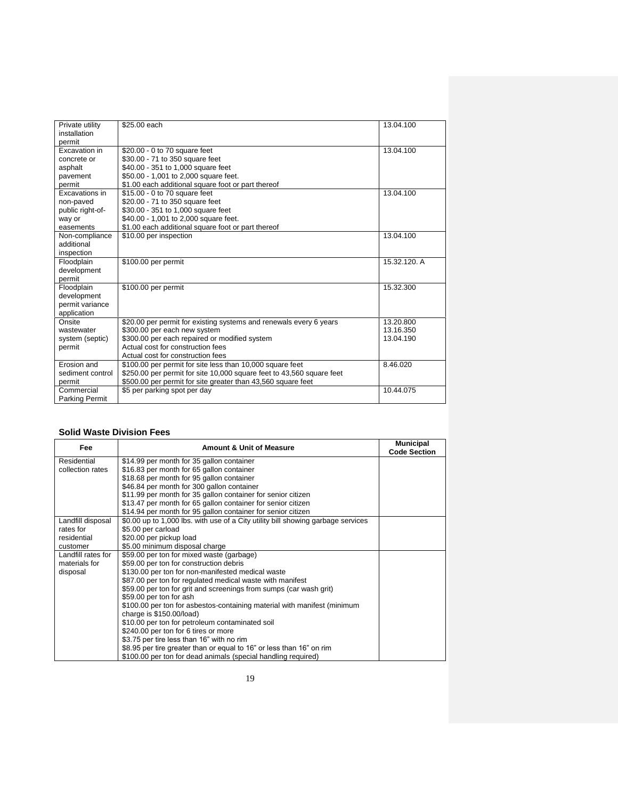| Private utility       | \$25.00 each                                                          | 13.04.100    |
|-----------------------|-----------------------------------------------------------------------|--------------|
| installation          |                                                                       |              |
| permit                |                                                                       |              |
| Excavation in         | \$20.00 - 0 to 70 square feet                                         | 13.04.100    |
| concrete or           | \$30.00 - 71 to 350 square feet                                       |              |
| asphalt               | \$40.00 - 351 to 1,000 square feet                                    |              |
| pavement              | \$50.00 - 1,001 to 2,000 square feet.                                 |              |
| permit                | \$1.00 each additional square foot or part thereof                    |              |
| Excavations in        | \$15.00 - 0 to 70 square feet                                         | 13.04.100    |
| non-paved             | \$20.00 - 71 to 350 square feet                                       |              |
| public right-of-      | \$30.00 - 351 to 1,000 square feet                                    |              |
| way or                | \$40.00 - 1,001 to 2,000 square feet.                                 |              |
| easements             | \$1.00 each additional square foot or part thereof                    |              |
| Non-compliance        | \$10.00 per inspection                                                | 13.04.100    |
| additional            |                                                                       |              |
| inspection            |                                                                       |              |
| Floodplain            | \$100.00 per permit                                                   | 15.32.120. A |
| development           |                                                                       |              |
| permit                |                                                                       |              |
| Floodplain            | \$100.00 per permit                                                   | 15.32.300    |
| development           |                                                                       |              |
| permit variance       |                                                                       |              |
| application           |                                                                       |              |
| Onsite                | \$20.00 per permit for existing systems and renewals every 6 years    | 13.20.800    |
| wastewater            | \$300.00 per each new system                                          | 13.16.350    |
| system (septic)       | \$300.00 per each repaired or modified system                         | 13.04.190    |
| permit                | Actual cost for construction fees                                     |              |
|                       | Actual cost for construction fees                                     |              |
| Frosion and           | \$100.00 per permit for site less than 10,000 square feet             | 8.46.020     |
| sediment control      | \$250.00 per permit for site 10,000 square feet to 43,560 square feet |              |
| permit                | \$500.00 per permit for site greater than 43,560 square feet          |              |
| Commercial            | \$5 per parking spot per day                                          | 10.44.075    |
| <b>Parking Permit</b> |                                                                       |              |

#### **Solid Waste Division Fees**

| Fee                | <b>Amount &amp; Unit of Measure</b>                                              | <b>Municipal</b><br><b>Code Section</b> |
|--------------------|----------------------------------------------------------------------------------|-----------------------------------------|
| Residential        | \$14.99 per month for 35 gallon container                                        |                                         |
| collection rates   | \$16.83 per month for 65 gallon container                                        |                                         |
|                    | \$18.68 per month for 95 gallon container                                        |                                         |
|                    | \$46.84 per month for 300 gallon container                                       |                                         |
|                    | \$11.99 per month for 35 gallon container for senior citizen                     |                                         |
|                    | \$13.47 per month for 65 gallon container for senior citizen                     |                                         |
|                    | \$14.94 per month for 95 gallon container for senior citizen                     |                                         |
| Landfill disposal  | \$0.00 up to 1,000 lbs, with use of a City utility bill showing garbage services |                                         |
| rates for          | \$5.00 per carload                                                               |                                         |
| residential        | \$20.00 per pickup load                                                          |                                         |
| customer           | \$5.00 minimum disposal charge                                                   |                                         |
| Landfill rates for | \$59.00 per ton for mixed waste (garbage)                                        |                                         |
| materials for      | \$59.00 per ton for construction debris                                          |                                         |
| disposal           | \$130.00 per ton for non-manifested medical waste                                |                                         |
|                    | \$87.00 per ton for regulated medical waste with manifest                        |                                         |
|                    | \$59.00 per ton for grit and screenings from sumps (car wash grit)               |                                         |
|                    | \$59.00 per ton for ash                                                          |                                         |
|                    | \$100.00 per ton for asbestos-containing material with manifest (minimum         |                                         |
|                    | charge is \$150.00/load)                                                         |                                         |
|                    | \$10.00 per ton for petroleum contaminated soil                                  |                                         |
|                    | \$240.00 per ton for 6 tires or more                                             |                                         |
|                    | \$3.75 per tire less than 16" with no rim                                        |                                         |
|                    | \$8.95 per tire greater than or equal to 16" or less than 16" on rim             |                                         |
|                    | \$100.00 per ton for dead animals (special handling required)                    |                                         |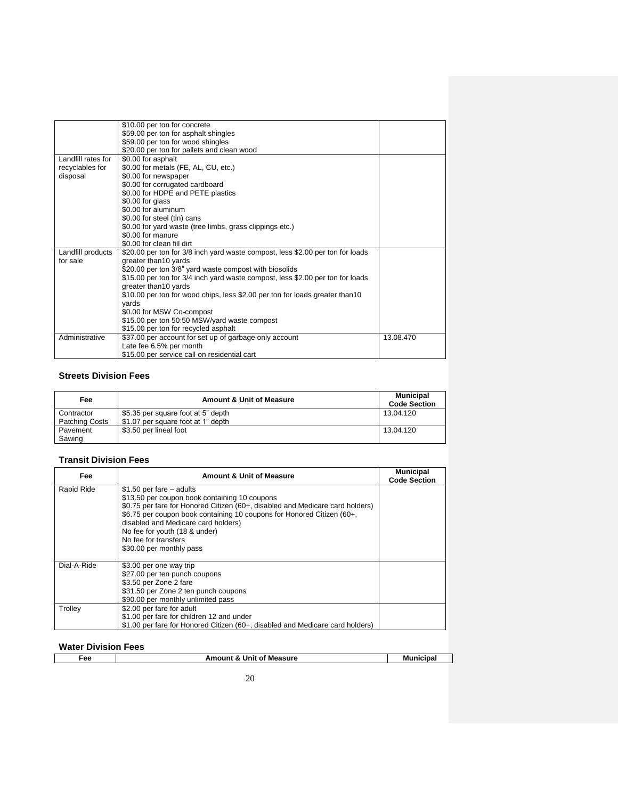|                    | \$10.00 per ton for concrete                                                   |           |
|--------------------|--------------------------------------------------------------------------------|-----------|
|                    | \$59.00 per ton for asphalt shingles                                           |           |
|                    | \$59.00 per ton for wood shingles                                              |           |
|                    | \$20.00 per ton for pallets and clean wood                                     |           |
| Landfill rates for | \$0.00 for asphalt                                                             |           |
| recyclables for    | \$0.00 for metals (FE, AL, CU, etc.)                                           |           |
| disposal           | \$0.00 for newspaper                                                           |           |
|                    | \$0.00 for corrugated cardboard                                                |           |
|                    | \$0.00 for HDPE and PETE plastics                                              |           |
|                    | \$0.00 for glass                                                               |           |
|                    | \$0.00 for aluminum                                                            |           |
|                    | \$0.00 for steel (tin) cans                                                    |           |
|                    | \$0.00 for yard waste (tree limbs, grass clippings etc.)                       |           |
|                    | \$0.00 for manure                                                              |           |
|                    | \$0.00 for clean fill dirt                                                     |           |
| Landfill products  | \$20.00 per ton for 3/8 inch yard waste compost, less \$2.00 per ton for loads |           |
| for sale           | greater than10 yards                                                           |           |
|                    | \$20.00 per ton 3/8" yard waste compost with biosolids                         |           |
|                    | \$15.00 per ton for 3/4 inch yard waste compost, less \$2.00 per ton for loads |           |
|                    | greater than10 yards                                                           |           |
|                    | \$10.00 per ton for wood chips, less \$2.00 per ton for loads greater than10   |           |
|                    | yards                                                                          |           |
|                    | \$0.00 for MSW Co-compost                                                      |           |
|                    | \$15.00 per ton 50:50 MSW/yard waste compost                                   |           |
|                    | \$15.00 per ton for recycled asphalt                                           |           |
| Administrative     | \$37.00 per account for set up of garbage only account                         | 13.08.470 |
|                    | Late fee 6.5% per month                                                        |           |
|                    | \$15.00 per service call on residential cart                                   |           |

#### **Streets Division Fees**

| Fee                   | <b>Amount &amp; Unit of Measure</b> | <b>Municipal</b><br><b>Code Section</b> |
|-----------------------|-------------------------------------|-----------------------------------------|
| Contractor            | \$5.35 per square foot at 5" depth  | 13.04.120                               |
| <b>Patching Costs</b> | \$1.07 per square foot at 1" depth  |                                         |
| Pavement              | \$3.50 per lineal foot              | 13.04.120                               |
| Sawing                |                                     |                                         |

#### **Transit Division Fees**

| Fee         | <b>Amount &amp; Unit of Measure</b>                                           | <b>Municipal</b><br><b>Code Section</b> |
|-------------|-------------------------------------------------------------------------------|-----------------------------------------|
| Rapid Ride  | $$1.50$ per fare $-$ adults<br>\$13.50 per coupon book containing 10 coupons  |                                         |
|             | \$0.75 per fare for Honored Citizen (60+, disabled and Medicare card holders) |                                         |
|             | \$6.75 per coupon book containing 10 coupons for Honored Citizen (60+,        |                                         |
|             | disabled and Medicare card holders)<br>No fee for youth (18 & under)          |                                         |
|             | No fee for transfers                                                          |                                         |
|             | \$30.00 per monthly pass                                                      |                                         |
| Dial-A-Ride |                                                                               |                                         |
|             | \$3.00 per one way trip<br>\$27.00 per ten punch coupons                      |                                         |
|             | \$3.50 per Zone 2 fare                                                        |                                         |
|             | \$31.50 per Zone 2 ten punch coupons                                          |                                         |
|             | \$90.00 per monthly unlimited pass                                            |                                         |
| Trolley     | \$2.00 per fare for adult                                                     |                                         |
|             | \$1.00 per fare for children 12 and under                                     |                                         |
|             | \$1.00 per fare for Honored Citizen (60+, disabled and Medicare card holders) |                                         |

### **Water Division Fees**

| ∙ee | of Measure<br>Unit<br>Amount<br>$\sim$ | wilinicine. |
|-----|----------------------------------------|-------------|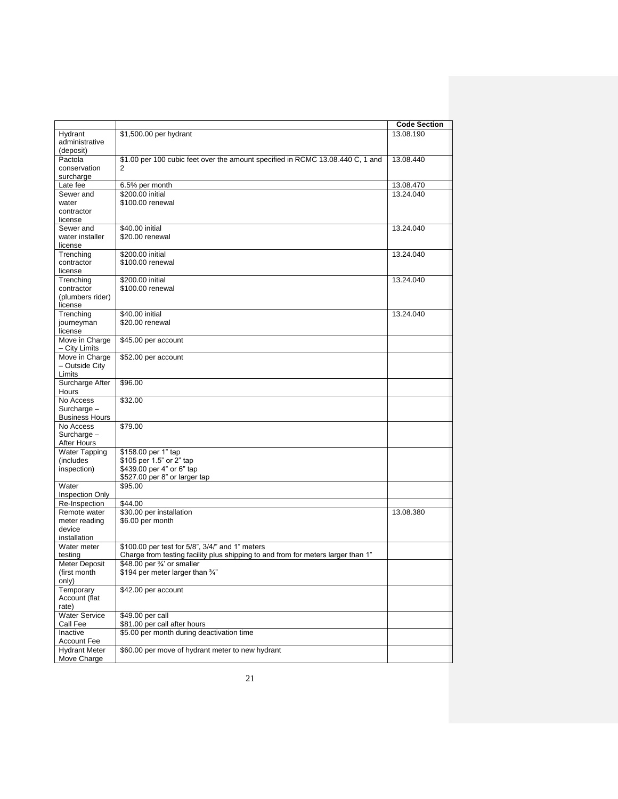|                                    |                                                                                     | <b>Code Section</b> |
|------------------------------------|-------------------------------------------------------------------------------------|---------------------|
| Hydrant                            | \$1,500.00 per hydrant                                                              | 13.08.190           |
| administrative                     |                                                                                     |                     |
| (deposit)                          |                                                                                     |                     |
| Pactola<br>conservation            | \$1.00 per 100 cubic feet over the amount specified in RCMC 13.08.440 C, 1 and<br>2 | 13.08.440           |
| surcharge                          |                                                                                     |                     |
| Late fee                           | 6.5% per month                                                                      | 13.08.470           |
| Sewer and                          | \$200.00 initial                                                                    | 13.24.040           |
| water                              | \$100.00 renewal                                                                    |                     |
| contractor                         |                                                                                     |                     |
| license<br>Sewer and               | \$40,00 initial                                                                     | 13.24.040           |
| water installer                    | \$20.00 renewal                                                                     |                     |
| license                            |                                                                                     |                     |
| Trenching                          | \$200.00 initial                                                                    | 13.24.040           |
| contractor                         | \$100.00 renewal                                                                    |                     |
| license<br>Trenching               | \$200.00 initial                                                                    | 13.24.040           |
| contractor                         | \$100.00 renewal                                                                    |                     |
| (plumbers rider)                   |                                                                                     |                     |
| license                            |                                                                                     |                     |
| Trenching                          | \$40.00 initial                                                                     | 13.24.040           |
| journeyman<br>license              | \$20.00 renewal                                                                     |                     |
| Move in Charge                     | \$45.00 per account                                                                 |                     |
| - City Limits                      |                                                                                     |                     |
| Move in Charge                     | \$52.00 per account                                                                 |                     |
| - Outside City<br>Limits           |                                                                                     |                     |
| Surcharge After                    | \$96.00                                                                             |                     |
| Hours                              |                                                                                     |                     |
| No Access                          | \$32.00                                                                             |                     |
| Surcharge -                        |                                                                                     |                     |
| <b>Business Hours</b><br>No Access | \$79.00                                                                             |                     |
| Surcharge -                        |                                                                                     |                     |
| After Hours                        |                                                                                     |                     |
| <b>Water Tapping</b>               | \$158.00 per 1" tap                                                                 |                     |
| (includes                          | \$105 per 1.5" or 2" tap                                                            |                     |
| inspection)                        | \$439.00 per 4" or 6" tap<br>\$527.00 per 8" or larger tap                          |                     |
| Water                              | \$95.00                                                                             |                     |
| <b>Inspection Only</b>             |                                                                                     |                     |
| Re-Inspection                      | \$44.00                                                                             |                     |
| Remote water                       | \$30.00 per installation                                                            | 13.08.380           |
| meter reading<br>device            | \$6.00 per month                                                                    |                     |
| installation                       |                                                                                     |                     |
| Water meter                        | \$100.00 per test for 5/8", 3/4/" and 1" meters                                     |                     |
| testing                            | Charge from testing facility plus shipping to and from for meters larger than 1"    |                     |
| Meter Deposit                      | \$48.00 per 3/4' or smaller                                                         |                     |
| (first month                       | \$194 per meter larger than 3/4"                                                    |                     |
| only)<br>Temporary                 | \$42.00 per account                                                                 |                     |
| Account (flat                      |                                                                                     |                     |
| rate)                              |                                                                                     |                     |
| <b>Water Service</b>               | \$49.00 per call                                                                    |                     |
| Call Fee<br>Inactive               | \$81.00 per call after hours<br>\$5.00 per month during deactivation time           |                     |
| Account Fee                        |                                                                                     |                     |
| <b>Hydrant Meter</b>               | \$60.00 per move of hydrant meter to new hydrant                                    |                     |
| Move Charge                        |                                                                                     |                     |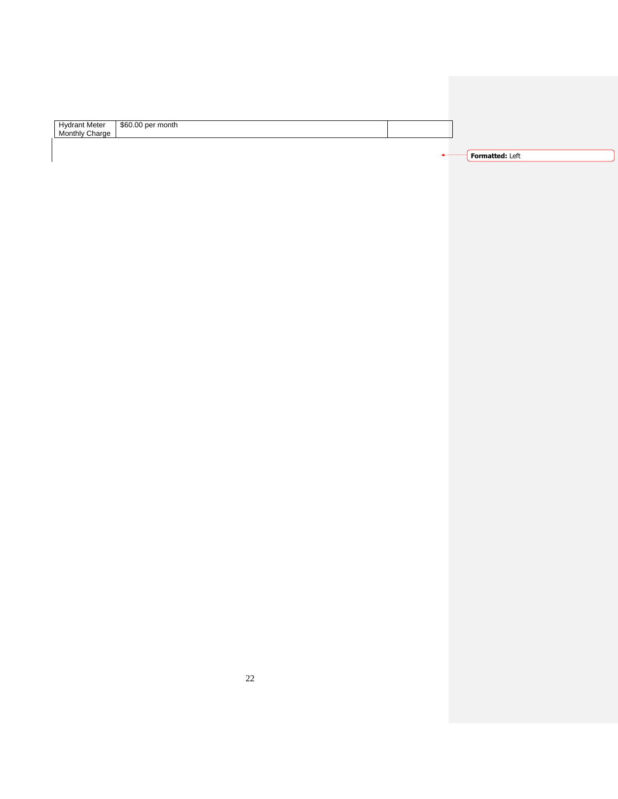| Hydrant Meter \$60.00 per month<br>Monthly Charge |                 |
|---------------------------------------------------|-----------------|
|                                                   |                 |
|                                                   | Formatted: Left |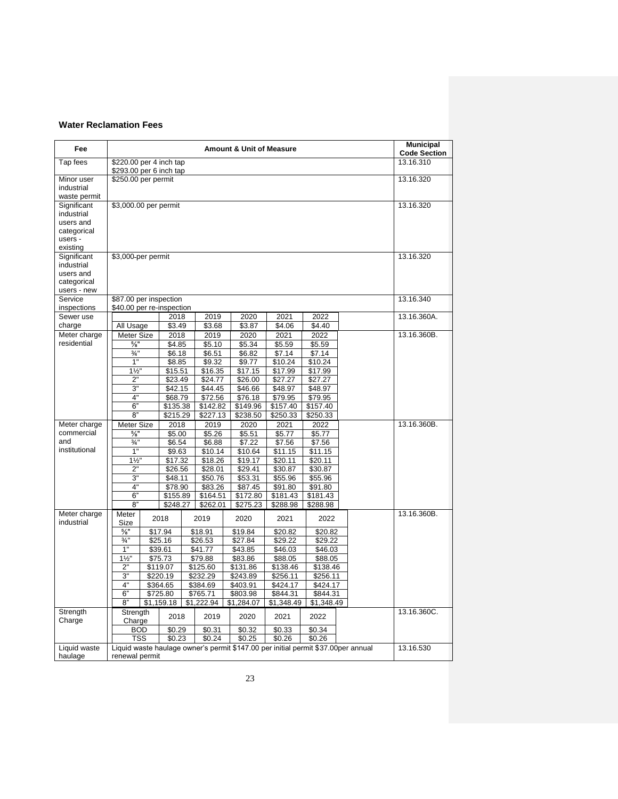#### **Water Reclamation Fees**

| Fee                                                                  | <b>Amount &amp; Unit of Measure</b>                 |  |                     |  |                       |                                                                                   |                     | <b>Municipal</b><br><b>Code Section</b> |           |             |
|----------------------------------------------------------------------|-----------------------------------------------------|--|---------------------|--|-----------------------|-----------------------------------------------------------------------------------|---------------------|-----------------------------------------|-----------|-------------|
| Tap fees                                                             | \$220.00 per 4 inch tap<br>\$293.00 per 6 inch tap  |  |                     |  |                       |                                                                                   |                     |                                         |           | 13.16.310   |
| Minor user<br>industrial<br>waste permit                             | \$250.00 per permit                                 |  |                     |  |                       |                                                                                   |                     |                                         |           | 13.16.320   |
| Significant<br>industrial<br>users and                               | \$3,000.00 per permit                               |  |                     |  |                       |                                                                                   |                     |                                         |           | 13.16.320   |
| categorical<br>users -<br>existing                                   |                                                     |  |                     |  |                       |                                                                                   |                     |                                         |           |             |
| Significant<br>industrial<br>users and<br>categorical<br>users - new | \$3,000 per permit                                  |  |                     |  |                       |                                                                                   |                     |                                         | 13.16.320 |             |
| Service<br>inspections                                               | \$87.00 per inspection<br>\$40.00 per re-inspection |  |                     |  |                       |                                                                                   |                     |                                         |           | 13.16.340   |
| Sewer use                                                            |                                                     |  | 2018                |  | 2019                  | 2020                                                                              | 2021                | 2022                                    |           | 13.16.360A. |
| charge<br>Meter charge                                               | All Usage<br>Meter Size                             |  | \$3.49              |  | \$3.68<br>2019        | \$3.87<br>2020                                                                    | \$4.06<br>2021      | \$4.40<br>2022                          |           | 13.16.360B. |
| residential                                                          | $\frac{5}{8}$ "                                     |  | 2018<br>\$4.85      |  | \$5.10                | \$5.34                                                                            | \$5.59              | \$5.59                                  |           |             |
|                                                                      | $\frac{3}{4}$                                       |  | \$6.18              |  | \$6.51                | \$6.82                                                                            | \$7.14              | \$7.14                                  |           |             |
|                                                                      | 1"                                                  |  | \$8.85              |  | \$9.32                | \$9.77                                                                            | \$10.24             | \$10.24                                 |           |             |
|                                                                      | $1\frac{1}{2}$                                      |  | \$15.51             |  | \$16.35               | \$17.15                                                                           | \$17.99             | \$17.99                                 |           |             |
|                                                                      | 2"                                                  |  | \$23.49             |  | \$24.77               | \$26.00                                                                           | \$27.27             | \$27.27                                 |           |             |
|                                                                      | 3"                                                  |  | \$42.15             |  | \$44.45               | \$46.66                                                                           | \$48.97             | \$48.97                                 |           |             |
|                                                                      | 4"<br>6"                                            |  | \$68.79<br>\$135.38 |  | \$72.56<br>\$142.82   | \$76.18<br>\$149.96                                                               | \$79.95<br>\$157.40 | \$79.95<br>\$157.40                     |           |             |
|                                                                      | 8"                                                  |  | \$215.29            |  | \$227.13              | \$238.50                                                                          | \$250.33            | \$250.33                                |           |             |
| Meter charge                                                         | Meter Size                                          |  | 2018                |  | 2019                  | 2020                                                                              | 2021                | 2022                                    |           | 13.16.360B. |
| commercial                                                           | $\frac{5}{8}$ "                                     |  | \$5.00              |  | \$5.26                | \$5.51                                                                            | \$5.77              | \$5.77                                  |           |             |
| and                                                                  | $\frac{3}{4}$ "                                     |  | \$6.54              |  | \$6.88                | \$7.22                                                                            | \$7.56              | \$7.56                                  |           |             |
| institutional                                                        | 1"                                                  |  | \$9.63              |  | \$10.14               | \$10.64                                                                           | \$11.15             | \$11.15                                 |           |             |
|                                                                      | $1\frac{1}{2}$                                      |  | \$17.32             |  | \$18.26               | \$19.17                                                                           | \$20.11             | \$20.11                                 |           |             |
|                                                                      | 2"                                                  |  | \$26.56             |  | \$28.01               | \$29.41                                                                           | \$30.87             | \$30.87                                 |           |             |
|                                                                      | 3"                                                  |  | \$48.11             |  | \$50.76               | \$53.31                                                                           | \$55.96             | \$55.96                                 |           |             |
|                                                                      | 4"<br>6"                                            |  | \$78.90<br>\$155.89 |  | \$83.26<br>\$164.51   | \$87.45<br>\$172.80                                                               | \$91.80<br>\$181.43 | \$91.80<br>\$181.43                     |           |             |
|                                                                      | 8"                                                  |  | \$248.27            |  | \$262.01              | \$275.23                                                                          | \$288.98            | \$288.98                                |           |             |
| Meter charge<br>industrial                                           | Meter<br>Size                                       |  | 2018                |  | 2019                  | 2020                                                                              | 2021                | 2022                                    |           | 13.16.360B. |
|                                                                      | $\frac{5}{8}$ "                                     |  | \$17.94             |  | \$18.91               | \$19.84                                                                           | \$20.82             | \$20.82                                 |           |             |
|                                                                      | $\frac{3}{4}$ "                                     |  | \$25.16             |  | \$26.53               | \$27.84                                                                           | \$29.22             | \$29.22                                 |           |             |
|                                                                      | 1"                                                  |  | \$39.61             |  | \$41.77               | \$43.85                                                                           | \$46.03             | \$46.03                                 |           |             |
|                                                                      | $1\frac{1}{2}$<br>$2^{\circ}$                       |  | \$75.73<br>\$119.07 |  | \$79.88<br>\$125.60   | \$83.86<br>\$131.86                                                               | \$88.05<br>\$138.46 | \$88.05<br>\$138.46                     |           |             |
|                                                                      | 3"                                                  |  | \$220.19            |  | \$232.29              | \$243.89                                                                          | \$256.11            | \$256.11                                |           |             |
|                                                                      | 4"                                                  |  | \$364.65            |  | \$384.69              | \$403.91                                                                          | \$424.17            | \$424.17                                |           |             |
|                                                                      | 6"                                                  |  | \$725.80            |  | \$765.71              | \$803.98                                                                          | \$844.31            | \$844.31                                |           |             |
|                                                                      | 8"                                                  |  | \$1,159.18          |  | $\overline{1,222.94}$ | \$1,284.07                                                                        | \$1,348.49          | \$1,348.49                              |           |             |
| Strength<br>Charge                                                   | Strength<br>Charge                                  |  | 2018                |  | 2019                  | 2020                                                                              | 2021                | 2022                                    |           | 13.16.360C. |
|                                                                      | <b>BOD</b>                                          |  | \$0.29              |  | \$0.31                | $\overline{$}0.32$                                                                | \$0.33              | \$0.34                                  |           |             |
|                                                                      | <b>TSS</b>                                          |  | \$0.23              |  | \$0.24                | \$0.25                                                                            | \$0.26              | \$0.26                                  |           |             |
| Liquid waste<br>haulage                                              |                                                     |  |                     |  |                       | Liquid waste haulage owner's permit \$147.00 per initial permit \$37.00per annual |                     |                                         |           | 13.16.530   |
|                                                                      | renewal permit                                      |  |                     |  |                       |                                                                                   |                     |                                         |           |             |